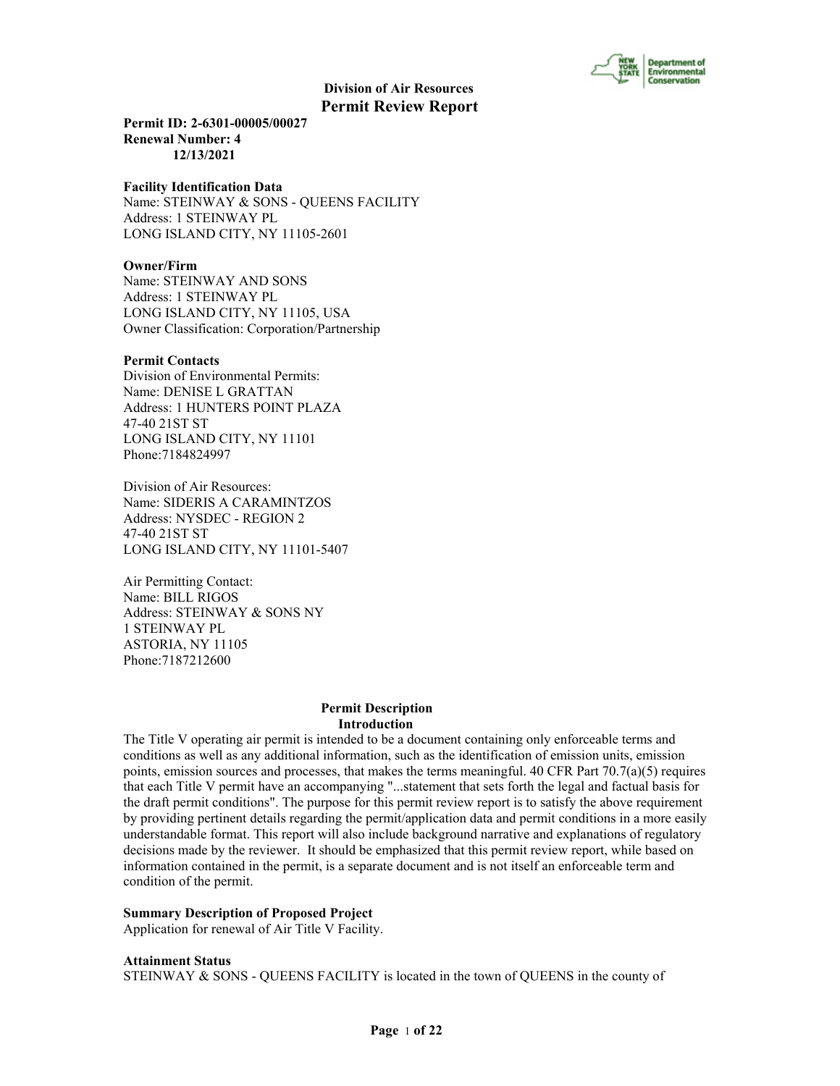

**Permit ID: 2-6301-00005/00027 Renewal Number: 4 12/13/2021**

#### **Facility Identification Data**

Name: STEINWAY & SONS - QUEENS FACILITY Address: 1 STEINWAY PL LONG ISLAND CITY, NY 11105-2601

## **Owner/Firm**

Name: STEINWAY AND SONS Address: 1 STEINWAY PL LONG ISLAND CITY, NY 11105, USA Owner Classification: Corporation/Partnership

#### **Permit Contacts**

Division of Environmental Permits: Name: DENISE L GRATTAN Address: 1 HUNTERS POINT PLAZA 47-40 21ST ST LONG ISLAND CITY, NY 11101 Phone:7184824997

Division of Air Resources: Name: SIDERIS A CARAMINTZOS Address: NYSDEC - REGION 2 47-40 21ST ST LONG ISLAND CITY, NY 11101-5407

Air Permitting Contact: Name: BILL RIGOS Address: STEINWAY & SONS NY 1 STEINWAY PL ASTORIA, NY 11105 Phone:7187212600

#### **Permit Description Introduction**

The Title V operating air permit is intended to be a document containing only enforceable terms and conditions as well as any additional information, such as the identification of emission units, emission points, emission sources and processes, that makes the terms meaningful. 40 CFR Part  $70.7(a)(5)$  requires that each Title V permit have an accompanying "...statement that sets forth the legal and factual basis for the draft permit conditions". The purpose for this permit review report is to satisfy the above requirement by providing pertinent details regarding the permit/application data and permit conditions in a more easily understandable format. This report will also include background narrative and explanations of regulatory decisions made by the reviewer. It should be emphasized that this permit review report, while based on information contained in the permit, is a separate document and is not itself an enforceable term and condition of the permit.

#### **Summary Description of Proposed Project**

Application for renewal of Air Title V Facility.

**Attainment Status**

STEINWAY & SONS - QUEENS FACILITY is located in the town of QUEENS in the county of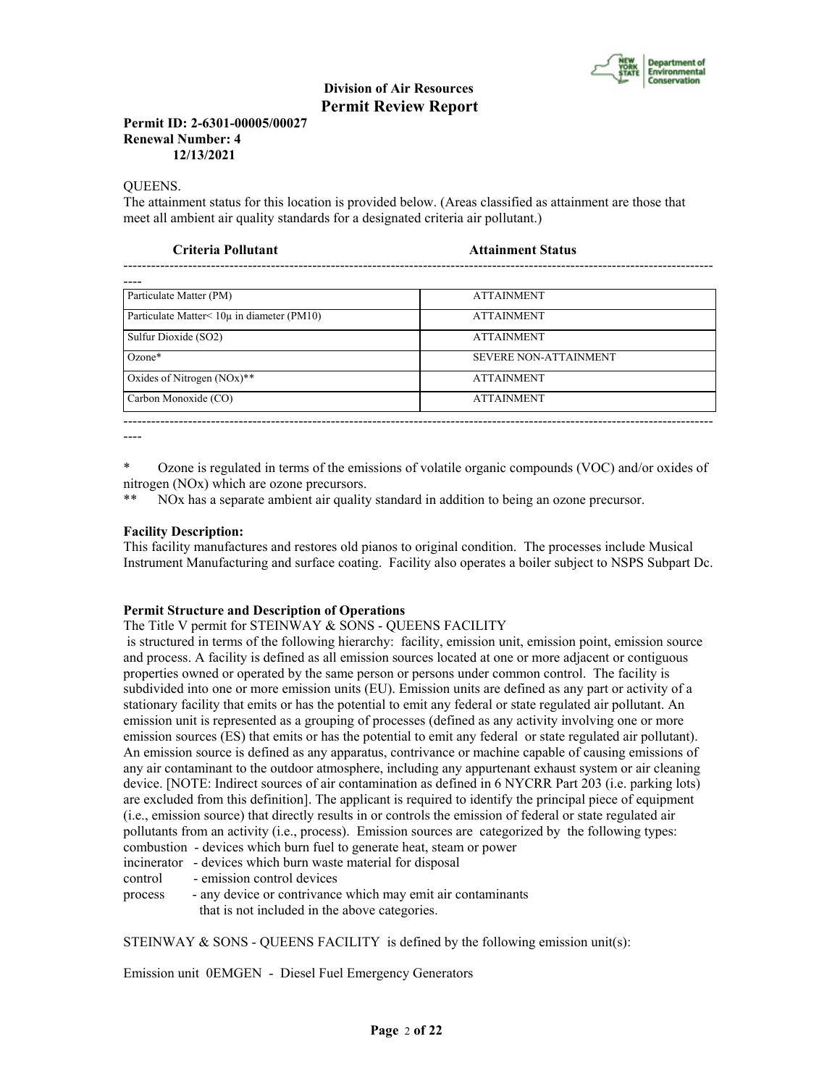

## **Permit ID: 2-6301-00005/00027 Renewal Number: 4 12/13/2021**

QUEENS.

The attainment status for this location is provided below. (Areas classified as attainment are those that meet all ambient air quality standards for a designated criteria air pollutant.)

| <b>ATTAINMENT</b><br><b>ATTAINMENT</b> |
|----------------------------------------|
|                                        |
|                                        |
|                                        |
| <b>ATTAINMENT</b>                      |
| <b>SEVERE NON-ATTAINMENT</b>           |
| <b>ATTAINMENT</b>                      |
| <b>ATTAINMENT</b>                      |
|                                        |

----

\* Ozone is regulated in terms of the emissions of volatile organic compounds (VOC) and/or oxides of nitrogen (NOx) which are ozone precursors.

\*\* NOx has a separate ambient air quality standard in addition to being an ozone precursor.

## **Facility Description:**

This facility manufactures and restores old pianos to original condition. The processes include Musical Instrument Manufacturing and surface coating. Facility also operates a boiler subject to NSPS Subpart Dc.

## **Permit Structure and Description of Operations**

The Title V permit for STEINWAY & SONS - QUEENS FACILITY

 is structured in terms of the following hierarchy: facility, emission unit, emission point, emission source and process. A facility is defined as all emission sources located at one or more adjacent or contiguous properties owned or operated by the same person or persons under common control. The facility is subdivided into one or more emission units (EU). Emission units are defined as any part or activity of a stationary facility that emits or has the potential to emit any federal or state regulated air pollutant. An emission unit is represented as a grouping of processes (defined as any activity involving one or more emission sources (ES) that emits or has the potential to emit any federal or state regulated air pollutant). An emission source is defined as any apparatus, contrivance or machine capable of causing emissions of any air contaminant to the outdoor atmosphere, including any appurtenant exhaust system or air cleaning device. [NOTE: Indirect sources of air contamination as defined in 6 NYCRR Part 203 (i.e. parking lots) are excluded from this definition]. The applicant is required to identify the principal piece of equipment (i.e., emission source) that directly results in or controls the emission of federal or state regulated air pollutants from an activity (i.e., process). Emission sources are categorized by the following types: combustion - devices which burn fuel to generate heat, steam or power

incinerator - devices which burn waste material for disposal

control - emission control devices

process - any device or contrivance which may emit air contaminants that is not included in the above categories.

STEINWAY & SONS - QUEENS FACILITY is defined by the following emission unit(s):

Emission unit 0EMGEN - Diesel Fuel Emergency Generators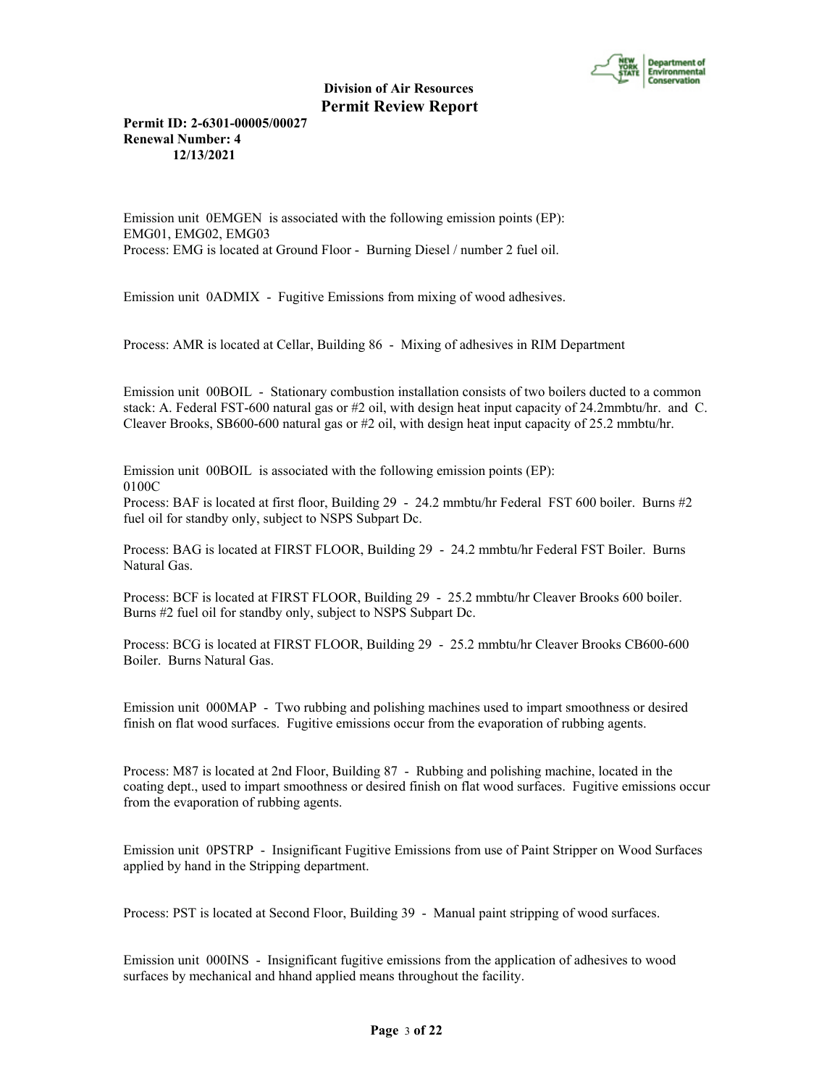

**Permit ID: 2-6301-00005/00027 Renewal Number: 4 12/13/2021**

Emission unit 0EMGEN is associated with the following emission points (EP): EMG01, EMG02, EMG03 Process: EMG is located at Ground Floor - Burning Diesel / number 2 fuel oil.

Emission unit 0ADMIX - Fugitive Emissions from mixing of wood adhesives.

Process: AMR is located at Cellar, Building 86 - Mixing of adhesives in RIM Department

Emission unit 00BOIL - Stationary combustion installation consists of two boilers ducted to a common stack: A. Federal FST-600 natural gas or #2 oil, with design heat input capacity of 24.2mmbtu/hr. and C. Cleaver Brooks, SB600-600 natural gas or #2 oil, with design heat input capacity of 25.2 mmbtu/hr.

Emission unit 00BOIL is associated with the following emission points (EP): 0100C

Process: BAF is located at first floor, Building 29 - 24.2 mmbtu/hr Federal FST 600 boiler. Burns #2 fuel oil for standby only, subject to NSPS Subpart Dc.

Process: BAG is located at FIRST FLOOR, Building 29 - 24.2 mmbtu/hr Federal FST Boiler. Burns Natural Gas.

Process: BCF is located at FIRST FLOOR, Building 29 - 25.2 mmbtu/hr Cleaver Brooks 600 boiler. Burns #2 fuel oil for standby only, subject to NSPS Subpart Dc.

Process: BCG is located at FIRST FLOOR, Building 29 - 25.2 mmbtu/hr Cleaver Brooks CB600-600 Boiler. Burns Natural Gas.

Emission unit 000MAP - Two rubbing and polishing machines used to impart smoothness or desired finish on flat wood surfaces. Fugitive emissions occur from the evaporation of rubbing agents.

Process: M87 is located at 2nd Floor, Building 87 - Rubbing and polishing machine, located in the coating dept., used to impart smoothness or desired finish on flat wood surfaces. Fugitive emissions occur from the evaporation of rubbing agents.

Emission unit 0PSTRP - Insignificant Fugitive Emissions from use of Paint Stripper on Wood Surfaces applied by hand in the Stripping department.

Process: PST is located at Second Floor, Building 39 - Manual paint stripping of wood surfaces.

Emission unit 000INS - Insignificant fugitive emissions from the application of adhesives to wood surfaces by mechanical and hhand applied means throughout the facility.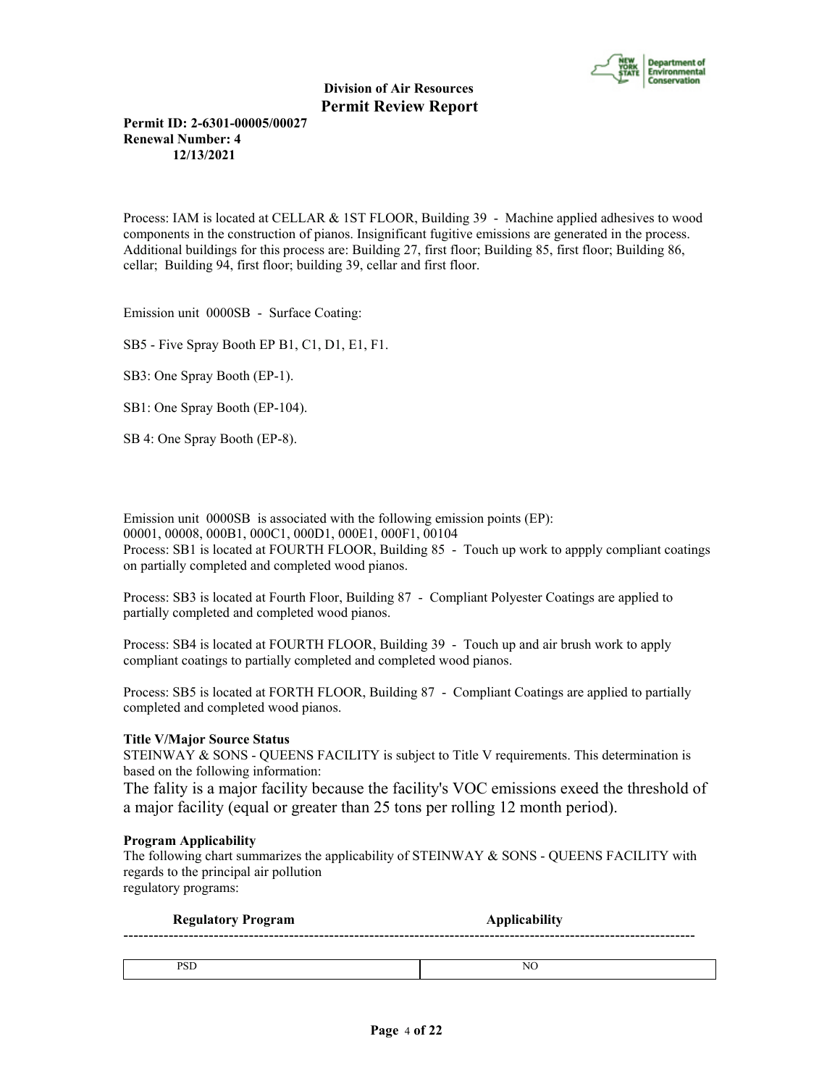

**Permit ID: 2-6301-00005/00027 Renewal Number: 4 12/13/2021**

Process: IAM is located at CELLAR & 1ST FLOOR, Building 39 - Machine applied adhesives to wood components in the construction of pianos. Insignificant fugitive emissions are generated in the process. Additional buildings for this process are: Building 27, first floor; Building 85, first floor; Building 86, cellar; Building 94, first floor; building 39, cellar and first floor.

Emission unit 0000SB - Surface Coating:

SB5 - Five Spray Booth EP B1, C1, D1, E1, F1.

SB3: One Spray Booth (EP-1).

SB1: One Spray Booth (EP-104).

SB 4: One Spray Booth (EP-8).

Emission unit 0000SB is associated with the following emission points (EP): 00001, 00008, 000B1, 000C1, 000D1, 000E1, 000F1, 00104 Process: SB1 is located at FOURTH FLOOR, Building 85 - Touch up work to appply compliant coatings on partially completed and completed wood pianos.

Process: SB3 is located at Fourth Floor, Building 87 - Compliant Polyester Coatings are applied to partially completed and completed wood pianos.

Process: SB4 is located at FOURTH FLOOR, Building 39 - Touch up and air brush work to apply compliant coatings to partially completed and completed wood pianos.

Process: SB5 is located at FORTH FLOOR, Building 87 - Compliant Coatings are applied to partially completed and completed wood pianos.

#### **Title V/Major Source Status**

STEINWAY & SONS - QUEENS FACILITY is subject to Title V requirements. This determination is based on the following information:

The fality is a major facility because the facility's VOC emissions exeed the threshold of a major facility (equal or greater than 25 tons per rolling 12 month period).

#### **Program Applicability**

The following chart summarizes the applicability of STEINWAY & SONS - QUEENS FACILITY with regards to the principal air pollution regulatory programs:

| <b>Regulatory Program</b> | <b>Applicability</b> |
|---------------------------|----------------------|
|                           |                      |
| PSD                       | NC                   |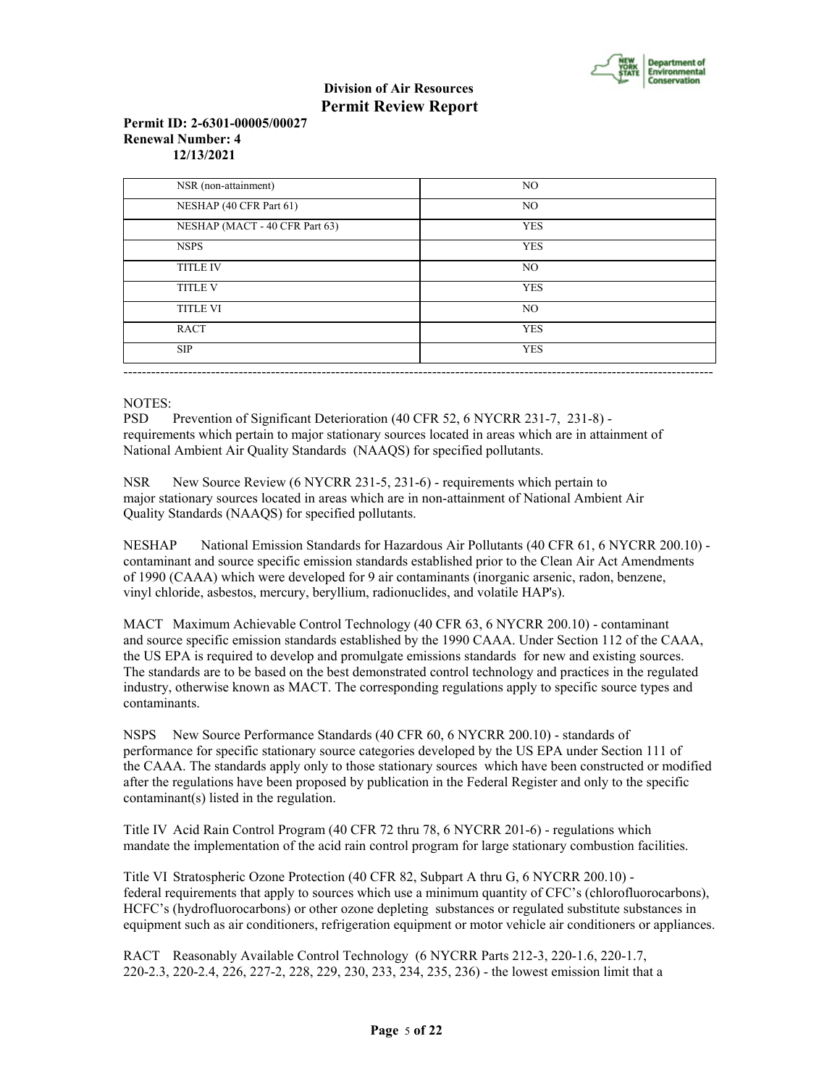

## **Permit ID: 2-6301-00005/00027 Renewal Number: 4 12/13/2021**

| NSR (non-attainment)           | NO.            |
|--------------------------------|----------------|
| NESHAP (40 CFR Part 61)        | N <sub>O</sub> |
| NESHAP (MACT - 40 CFR Part 63) | <b>YES</b>     |
| <b>NSPS</b>                    | <b>YES</b>     |
| <b>TITLE IV</b>                | NO.            |
| <b>TITLE V</b>                 | <b>YES</b>     |
| <b>TITLE VI</b>                | NO.            |
| <b>RACT</b>                    | <b>YES</b>     |
| <b>SIP</b>                     | <b>YES</b>     |

## NOTES:

PSD Prevention of Significant Deterioration (40 CFR 52, 6 NYCRR 231-7, 231-8) requirements which pertain to major stationary sources located in areas which are in attainment of National Ambient Air Quality Standards (NAAQS) for specified pollutants.

NSR New Source Review (6 NYCRR 231-5, 231-6) - requirements which pertain to major stationary sources located in areas which are in non-attainment of National Ambient Air Quality Standards (NAAQS) for specified pollutants.

NESHAP National Emission Standards for Hazardous Air Pollutants (40 CFR 61, 6 NYCRR 200.10) contaminant and source specific emission standards established prior to the Clean Air Act Amendments of 1990 (CAAA) which were developed for 9 air contaminants (inorganic arsenic, radon, benzene, vinyl chloride, asbestos, mercury, beryllium, radionuclides, and volatile HAP's).

MACT Maximum Achievable Control Technology (40 CFR 63, 6 NYCRR 200.10) - contaminant and source specific emission standards established by the 1990 CAAA. Under Section 112 of the CAAA, the US EPA is required to develop and promulgate emissions standards for new and existing sources. The standards are to be based on the best demonstrated control technology and practices in the regulated industry, otherwise known as MACT. The corresponding regulations apply to specific source types and contaminants.

NSPS New Source Performance Standards (40 CFR 60, 6 NYCRR 200.10) - standards of performance for specific stationary source categories developed by the US EPA under Section 111 of the CAAA. The standards apply only to those stationary sources which have been constructed or modified after the regulations have been proposed by publication in the Federal Register and only to the specific contaminant(s) listed in the regulation.

Title IV Acid Rain Control Program (40 CFR 72 thru 78, 6 NYCRR 201-6) - regulations which mandate the implementation of the acid rain control program for large stationary combustion facilities.

Title VI Stratospheric Ozone Protection (40 CFR 82, Subpart A thru G, 6 NYCRR 200.10) federal requirements that apply to sources which use a minimum quantity of CFC's (chlorofluorocarbons), HCFC's (hydrofluorocarbons) or other ozone depleting substances or regulated substitute substances in equipment such as air conditioners, refrigeration equipment or motor vehicle air conditioners or appliances.

RACT Reasonably Available Control Technology (6 NYCRR Parts 212-3, 220-1.6, 220-1.7, 220-2.3, 220-2.4, 226, 227-2, 228, 229, 230, 233, 234, 235, 236) - the lowest emission limit that a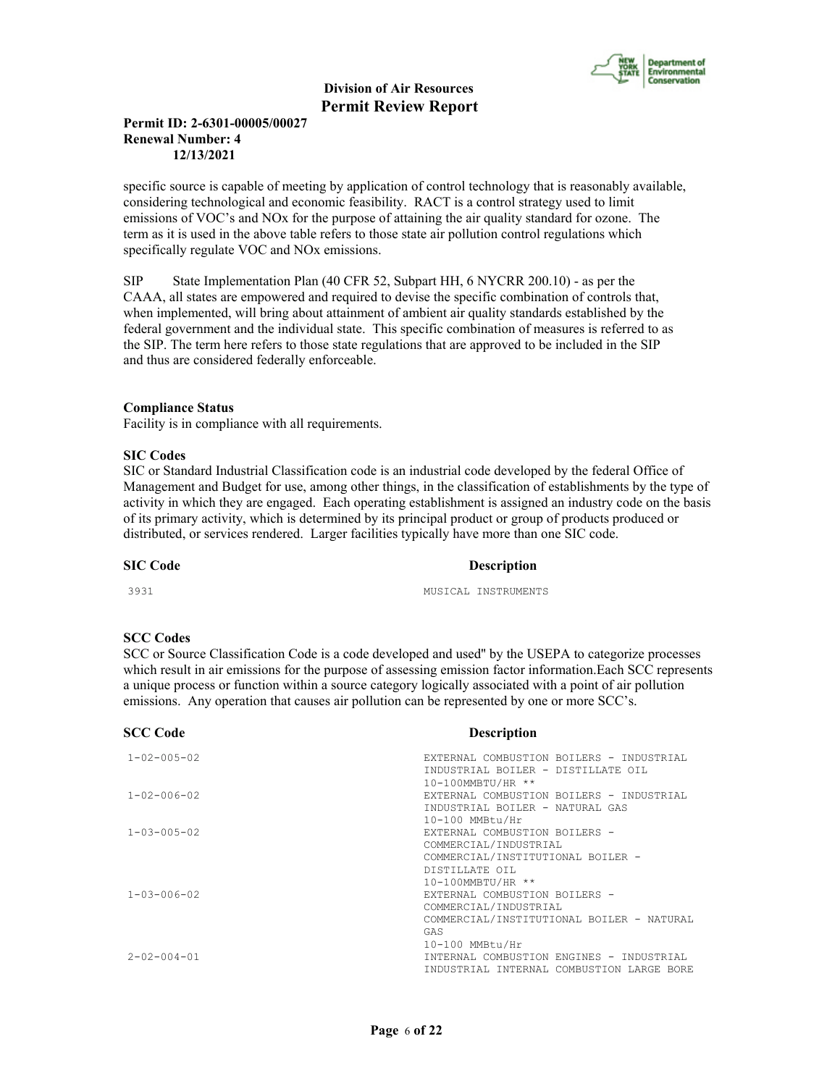

## **Permit ID: 2-6301-00005/00027 Renewal Number: 4 12/13/2021**

specific source is capable of meeting by application of control technology that is reasonably available, considering technological and economic feasibility. RACT is a control strategy used to limit emissions of VOC's and NOx for the purpose of attaining the air quality standard for ozone. The term as it is used in the above table refers to those state air pollution control regulations which specifically regulate VOC and NOx emissions.

SIP State Implementation Plan (40 CFR 52, Subpart HH, 6 NYCRR 200.10) - as per the CAAA, all states are empowered and required to devise the specific combination of controls that, when implemented, will bring about attainment of ambient air quality standards established by the federal government and the individual state. This specific combination of measures is referred to as the SIP. The term here refers to those state regulations that are approved to be included in the SIP and thus are considered federally enforceable.

## **Compliance Status**

Facility is in compliance with all requirements.

#### **SIC Codes**

SIC or Standard Industrial Classification code is an industrial code developed by the federal Office of Management and Budget for use, among other things, in the classification of establishments by the type of activity in which they are engaged. Each operating establishment is assigned an industry code on the basis of its primary activity, which is determined by its principal product or group of products produced or distributed, or services rendered. Larger facilities typically have more than one SIC code.

## **SIC Code** Description

3931 MUSICAL INSTRUMENTS

#### **SCC Codes**

SCC or Source Classification Code is a code developed and used'' by the USEPA to categorize processes which result in air emissions for the purpose of assessing emission factor information.Each SCC represents a unique process or function within a source category logically associated with a point of air pollution emissions. Any operation that causes air pollution can be represented by one or more SCC's.

#### **SCC Code Description**

| $1 - 02 - 005 - 02$    | EXTERNAL COMBUSTION BOILERS - INDUSTRIAL  |
|------------------------|-------------------------------------------|
|                        | INDUSTRIAL BOILER - DISTILLATE OIL        |
|                        | $10 - 100$ MMBTU/HR **                    |
| $1 - 02 - 006 - 02$    | EXTERNAL COMBUSTION BOILERS - INDUSTRIAL  |
|                        | INDUSTRIAL BOILER - NATURAL GAS           |
|                        | 10-100 MMBtu/Hr                           |
| $1 - 0.3 - 0.05 - 0.2$ | EXTERNAL COMBUSTION BOILERS -             |
|                        | COMMERCIAL/INDUSTRIAL                     |
|                        | COMMERCIAL/INSTITUTIONAL BOILER -         |
|                        |                                           |
|                        | DISTILLATE OIL                            |
|                        | 10-100MMBTU/HR **                         |
| $1 - 0.3 - 0.06 - 0.2$ | EXTERNAL COMBUSTION BOILERS -             |
|                        | COMMERCIAL/INDUSTRIAL                     |
|                        | COMMERCIAL/INSTITUTIONAL BOILER - NATURAL |
|                        | GAS                                       |
|                        | 10-100 MMBtu/Hr                           |
| $2 - 02 - 004 - 01$    | INTERNAL COMBUSTION ENGINES - INDUSTRIAL  |
|                        |                                           |
|                        | INDUSTRIAL INTERNAL COMBUSTION LARGE BORE |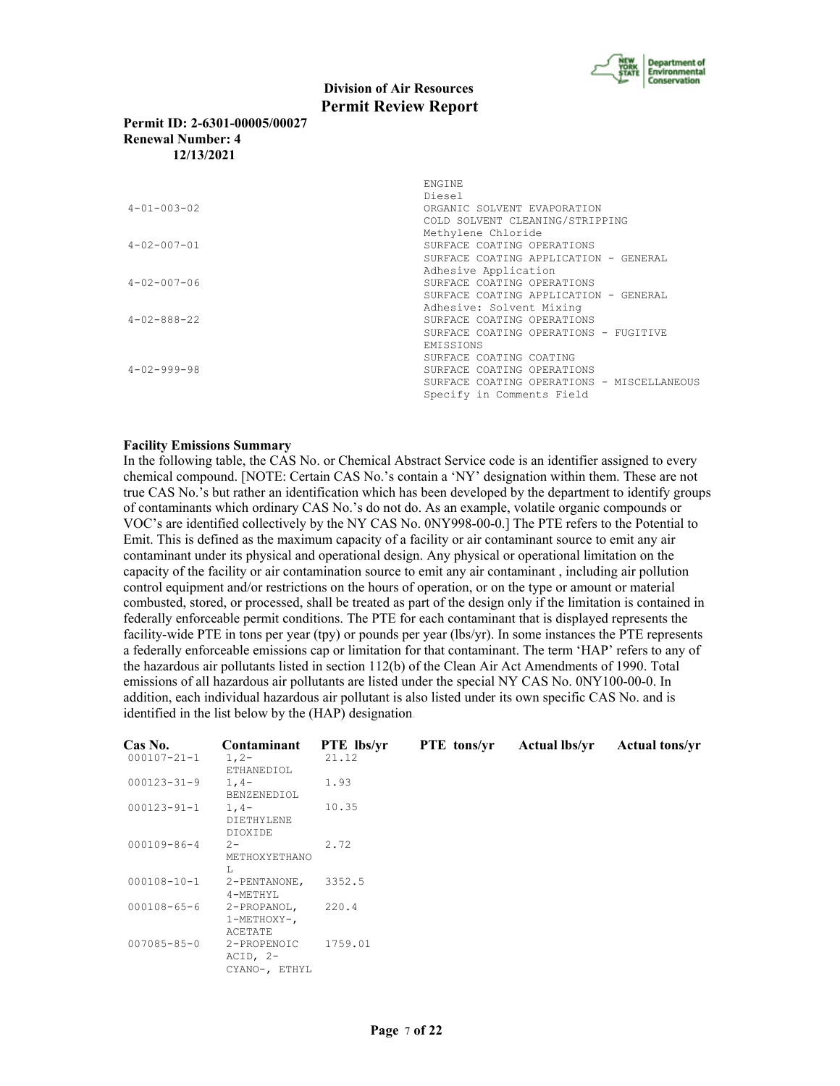

## **Permit ID: 2-6301-00005/00027 Renewal Number: 4 12/13/2021**

|                     | <b>ENGINE</b><br>Diesel                    |
|---------------------|--------------------------------------------|
| $4 - 01 - 003 - 02$ | ORGANIC SOLVENT EVAPORATION                |
|                     | COLD SOLVENT CLEANING/STRIPPING            |
|                     | Methylene Chloride                         |
| $4 - 02 - 007 - 01$ | SURFACE COATING OPERATIONS                 |
|                     | SURFACE COATING APPLICATION - GENERAL      |
|                     | Adhesive Application                       |
| $4 - 02 - 007 - 06$ | SURFACE COATING OPERATIONS                 |
|                     | SURFACE COATING APPLICATION - GENERAL      |
|                     | Adhesive: Solvent Mixing                   |
| $4 - 02 - 888 - 22$ | SURFACE COATING OPERATIONS                 |
|                     | SURFACE COATING OPERATIONS - FUGITIVE      |
|                     | <b>EMISSIONS</b>                           |
|                     | SURFACE COATING COATING                    |
| $4 - 02 - 999 - 98$ | SURFACE COATING OPERATIONS                 |
|                     | SURFACE COATING OPERATIONS - MISCELLANEOUS |
|                     | Specify in Comments Field                  |

#### **Facility Emissions Summary**

In the following table, the CAS No. or Chemical Abstract Service code is an identifier assigned to every chemical compound. [NOTE: Certain CAS No.'s contain a 'NY' designation within them. These are not true CAS No.'s but rather an identification which has been developed by the department to identify groups of contaminants which ordinary CAS No.'s do not do. As an example, volatile organic compounds or VOC's are identified collectively by the NY CAS No. 0NY998-00-0.] The PTE refers to the Potential to Emit. This is defined as the maximum capacity of a facility or air contaminant source to emit any air contaminant under its physical and operational design. Any physical or operational limitation on the capacity of the facility or air contamination source to emit any air contaminant , including air pollution control equipment and/or restrictions on the hours of operation, or on the type or amount or material combusted, stored, or processed, shall be treated as part of the design only if the limitation is contained in federally enforceable permit conditions. The PTE for each contaminant that is displayed represents the facility-wide PTE in tons per year (tpy) or pounds per year (lbs/yr). In some instances the PTE represents a federally enforceable emissions cap or limitation for that contaminant. The term 'HAP' refers to any of the hazardous air pollutants listed in section 112(b) of the Clean Air Act Amendments of 1990. Total emissions of all hazardous air pollutants are listed under the special NY CAS No. 0NY100-00-0. In addition, each individual hazardous air pollutant is also listed under its own specific CAS No. and is identified in the list below by the (HAP) designation.

| <b>Cas No.</b>    | Contaminant                                | <b>PTE</b> lbs/yr | <b>PTE</b> tons/yr | <b>Actual lbs/vr</b> | <b>Actual tons/vr</b> |
|-------------------|--------------------------------------------|-------------------|--------------------|----------------------|-----------------------|
| $000107 - 21 - 1$ | $1, 2-$<br>ETHANEDIOL                      | 21.12             |                    |                      |                       |
| $000123 - 31 - 9$ | $1, 4-$<br>BENZENEDIOL                     | 1.93              |                    |                      |                       |
| 000123-91-1       | $1, 4-$<br>DIETHYLENE<br>DIOXIDE           | 10.35             |                    |                      |                       |
| 000109-86-4       | $2 -$<br>METHOXYETHANO<br>T.               | 2.72              |                    |                      |                       |
| 000108-10-1       | 2-PENTANONE,<br>4-METHYL                   | 3352.5            |                    |                      |                       |
| $000108 - 65 - 6$ | 2-PROPANOL,<br>1-METHOXY-,<br>ACETATE      | 220.4             |                    |                      |                       |
| 007085-85-0       | 2-PROPENOIC<br>$ACID, 2-$<br>CYANO-, ETHYL | 1759.01           |                    |                      |                       |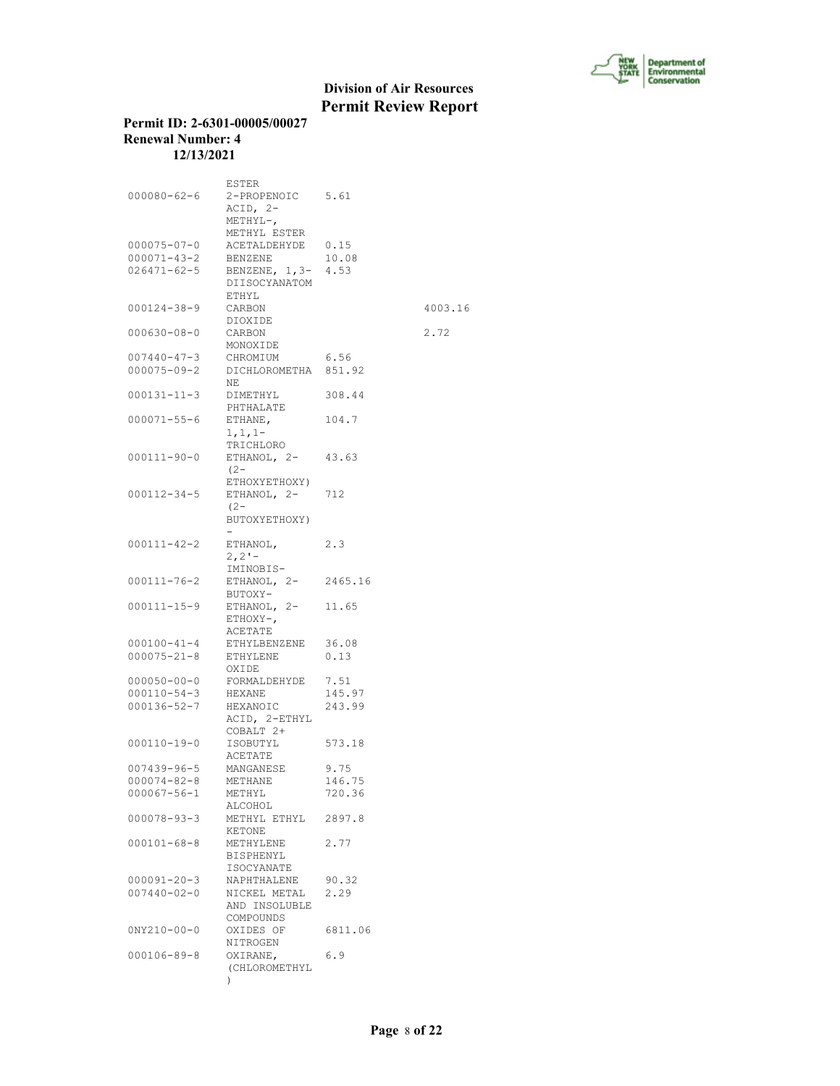

## **Permit ID: 2-6301-00005/00027 Renewal Number: 4 12/13/2021**

|                   | ESTER                |         |         |
|-------------------|----------------------|---------|---------|
| $000080 - 62 - 6$ | 2-PROPENOIC 5.61     |         |         |
|                   | $ACID, 2-$           |         |         |
|                   |                      |         |         |
|                   | $METHYL-,$           |         |         |
|                   | METHYL ESTER         |         |         |
| $000075 - 07 - 0$ | ACETALDEHYDE         | 0.15    |         |
| $000071 - 43 - 2$ | BENZENE              | 10.08   |         |
| $026471 - 62 - 5$ | BENZENE, 1,3- 4.53   |         |         |
|                   | DIISOCYANATOM        |         |         |
|                   |                      |         |         |
|                   | ETHYL                |         |         |
| $000124 - 38 - 9$ | CARBON               |         | 4003.16 |
|                   | DIOXIDE              |         |         |
| $000630 - 08 - 0$ | CARBON               |         | 2.72    |
|                   | MONOXIDE             |         |         |
| $007440 - 47 - 3$ | CHROMIUM             | 6.56    |         |
| $000075 - 09 - 2$ | DICHLOROMETHA 851.92 |         |         |
|                   |                      |         |         |
|                   | NΕ                   |         |         |
| $000131 - 11 - 3$ | DIMETHYL             | 308.44  |         |
|                   | PHTHALATE            |         |         |
| $000071 - 55 - 6$ | ETHANE,              | 104.7   |         |
|                   | $1, 1, 1-$           |         |         |
|                   | TRICHLORO            |         |         |
|                   |                      | 43.63   |         |
| 000111-90-0       | ETHANOL, 2-          |         |         |
|                   | $(2 -$               |         |         |
|                   | ETHOXYETHOXY)        |         |         |
| $000112 - 34 - 5$ | ETHANOL, 2-          | 712     |         |
|                   | $(2 -$               |         |         |
|                   | BUTOXYETHOXY)        |         |         |
|                   |                      |         |         |
| $000111 - 42 - 2$ |                      | 2.3     |         |
|                   | ETHANOL,             |         |         |
|                   | 2, 2!                |         |         |
|                   | IMINOBIS-            |         |         |
| 000111-76-2       | ETHANOL, 2-          | 2465.16 |         |
|                   | BUTOXY-              |         |         |
| 000111-15-9       | ETHANOL, 2-          | 11.65   |         |
|                   | $ETHOXY-$ ,          |         |         |
|                   |                      |         |         |
|                   | ACETATE              |         |         |
| $000100 - 41 - 4$ | ETHYLBENZENE         | 36.08   |         |
| $000075 - 21 - 8$ | ETHYLENE             | 0.13    |         |
|                   | OXIDE                |         |         |
| $000050 - 00 - 0$ | FORMALDEHYDE         | 7.51    |         |
| $000110 - 54 - 3$ | HEXANE               | 145.97  |         |
| $000136 - 52 - 7$ | HEXANOIC             | 243.99  |         |
|                   |                      |         |         |
|                   | ACID, 2-ETHYL        |         |         |
|                   | COBALT 2+            |         |         |
| 000110-19-0       | ISOBUTYL             | 573.18  |         |
|                   | ACETATE              |         |         |
| $007439 - 96 - 5$ | MANGANESE            | 9.75    |         |
| $000074 - 82 - 8$ | METHANE              | 146.75  |         |
| $000067 - 56 - 1$ | METHYL               | 720.36  |         |
|                   |                      |         |         |
|                   | ALCOHOL              |         |         |
| $000078 - 93 - 3$ | METHYL ETHYL 2897.8  |         |         |
|                   | KETONE               |         |         |
| $000101 - 68 - 8$ | METHYLENE            | 2.77    |         |
|                   | BISPHENYL            |         |         |
|                   | ISOCYANATE           |         |         |
|                   |                      |         |         |
| $000091 - 20 - 3$ | NAPHTHALENE          | 90.32   |         |
| $007440 - 02 - 0$ | NICKEL METAL         | 2.29    |         |
|                   | AND INSOLUBLE        |         |         |
|                   | COMPOUNDS            |         |         |
| $0NY210-00-0$     | OXIDES OF            | 6811.06 |         |
|                   | NITROGEN             |         |         |
| $000106 - 89 - 8$ | OXIRANE,             | 6.9     |         |
|                   |                      |         |         |
|                   | (CHLOROMETHYL        |         |         |
|                   | $\left( \right)$     |         |         |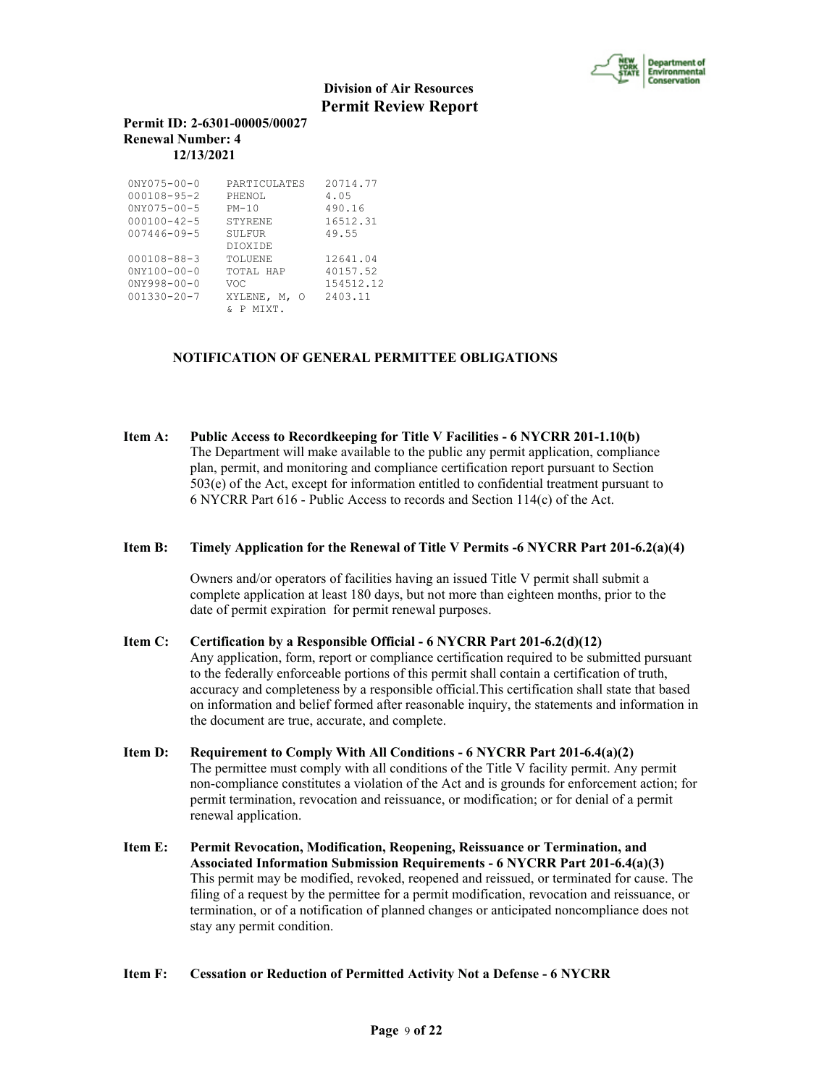

## **Permit ID: 2-6301-00005/00027 Renewal Number: 4 12/13/2021**

| $0NY075 - 00 - 0$                                                                | PARTICULATES                                                                            | 20714.77                                     |
|----------------------------------------------------------------------------------|-----------------------------------------------------------------------------------------|----------------------------------------------|
| $000108 - 95 - 2$                                                                | PHENOL                                                                                  | 4.05                                         |
| $0NY075 - 00 - 5$                                                                | $PM-10$                                                                                 | 490.16                                       |
| $000100 - 42 - 5$                                                                | STYRENE                                                                                 | 16512.31                                     |
| $007446 - 09 - 5$                                                                | SULFUR                                                                                  | 49.55                                        |
| $000108 - 88 - 3$<br>$0NY100 - 00 - 0$<br>$0NY998 - 00 - 0$<br>$001330 - 20 - 7$ | <b>DIOXIDE</b><br><b>TOLUENE</b><br>TOTAL HAP<br>VOC<br>XYLENE, M,<br>- റ<br>MTXT.<br>P | 12641.04<br>40157.52<br>154512.12<br>2403.11 |

## **NOTIFICATION OF GENERAL PERMITTEE OBLIGATIONS**

**Item A: Public Access to Recordkeeping for Title V Facilities - 6 NYCRR 201-1.10(b)** The Department will make available to the public any permit application, compliance plan, permit, and monitoring and compliance certification report pursuant to Section 503(e) of the Act, except for information entitled to confidential treatment pursuant to 6 NYCRR Part 616 - Public Access to records and Section 114(c) of the Act.

#### **Item B: Timely Application for the Renewal of Title V Permits -6 NYCRR Part 201-6.2(a)(4)**

 Owners and/or operators of facilities having an issued Title V permit shall submit a complete application at least 180 days, but not more than eighteen months, prior to the date of permit expiration for permit renewal purposes.

## **Item C: Certification by a Responsible Official - 6 NYCRR Part 201-6.2(d)(12)** Any application, form, report or compliance certification required to be submitted pursuant to the federally enforceable portions of this permit shall contain a certification of truth, accuracy and completeness by a responsible official.This certification shall state that based on information and belief formed after reasonable inquiry, the statements and information in the document are true, accurate, and complete.

- **Item D: Requirement to Comply With All Conditions 6 NYCRR Part 201-6.4(a)(2)** The permittee must comply with all conditions of the Title V facility permit. Any permit non-compliance constitutes a violation of the Act and is grounds for enforcement action; for permit termination, revocation and reissuance, or modification; or for denial of a permit renewal application.
- **Item E: Permit Revocation, Modification, Reopening, Reissuance or Termination, and Associated Information Submission Requirements - 6 NYCRR Part 201-6.4(a)(3)** This permit may be modified, revoked, reopened and reissued, or terminated for cause. The filing of a request by the permittee for a permit modification, revocation and reissuance, or termination, or of a notification of planned changes or anticipated noncompliance does not stay any permit condition.

#### **Item F: Cessation or Reduction of Permitted Activity Not a Defense - 6 NYCRR**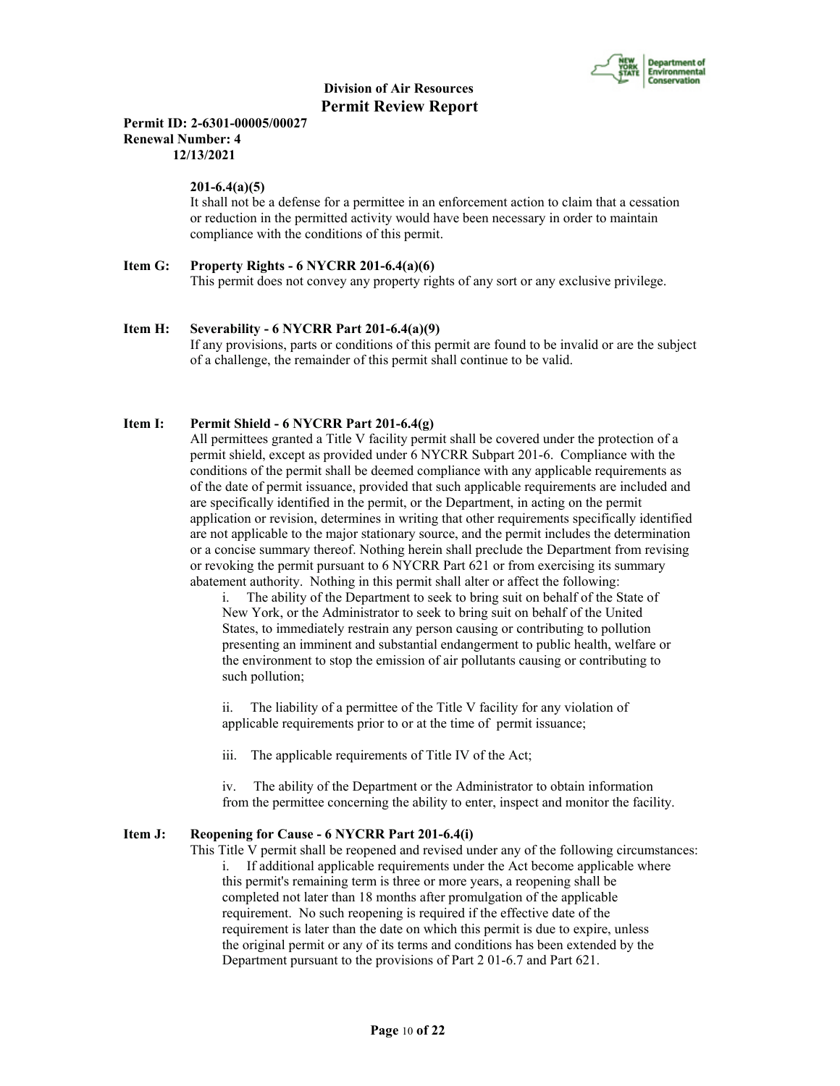

## **Permit ID: 2-6301-00005/00027 Renewal Number: 4 12/13/2021**

### **201-6.4(a)(5)**

 It shall not be a defense for a permittee in an enforcement action to claim that a cessation or reduction in the permitted activity would have been necessary in order to maintain compliance with the conditions of this permit.

```
Item G: Property Rights - 6 NYCRR 201-6.4(a)(6)
This permit does not convey any property rights of any sort or any exclusive privilege.
```
## **Item H: Severability - 6 NYCRR Part 201-6.4(a)(9)**

 If any provisions, parts or conditions of this permit are found to be invalid or are the subject of a challenge, the remainder of this permit shall continue to be valid.

## **Item I: Permit Shield - 6 NYCRR Part 201-6.4(g)**

 All permittees granted a Title V facility permit shall be covered under the protection of a permit shield, except as provided under 6 NYCRR Subpart 201-6. Compliance with the conditions of the permit shall be deemed compliance with any applicable requirements as of the date of permit issuance, provided that such applicable requirements are included and are specifically identified in the permit, or the Department, in acting on the permit application or revision, determines in writing that other requirements specifically identified are not applicable to the major stationary source, and the permit includes the determination or a concise summary thereof. Nothing herein shall preclude the Department from revising or revoking the permit pursuant to 6 NYCRR Part 621 or from exercising its summary abatement authority. Nothing in this permit shall alter or affect the following:

i. The ability of the Department to seek to bring suit on behalf of the State of New York, or the Administrator to seek to bring suit on behalf of the United States, to immediately restrain any person causing or contributing to pollution presenting an imminent and substantial endangerment to public health, welfare or the environment to stop the emission of air pollutants causing or contributing to such pollution;

ii. The liability of a permittee of the Title V facility for any violation of applicable requirements prior to or at the time of permit issuance;

iii. The applicable requirements of Title IV of the Act;

iv. The ability of the Department or the Administrator to obtain information from the permittee concerning the ability to enter, inspect and monitor the facility.

#### **Item J: Reopening for Cause - 6 NYCRR Part 201-6.4(i)**

 This Title V permit shall be reopened and revised under any of the following circumstances: i. If additional applicable requirements under the Act become applicable where this permit's remaining term is three or more years, a reopening shall be completed not later than 18 months after promulgation of the applicable requirement. No such reopening is required if the effective date of the requirement is later than the date on which this permit is due to expire, unless the original permit or any of its terms and conditions has been extended by the Department pursuant to the provisions of Part 2 01-6.7 and Part 621.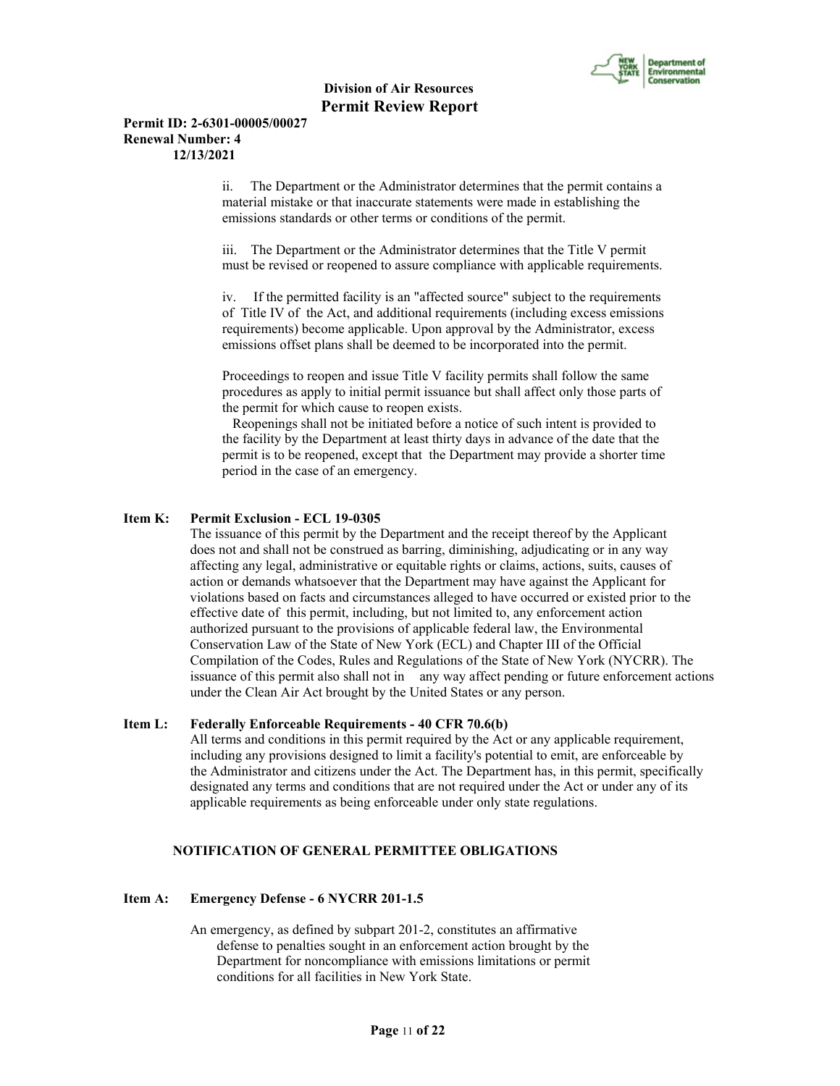

#### **Permit ID: 2-6301-00005/00027 Renewal Number: 4 12/13/2021**

ii. The Department or the Administrator determines that the permit contains a material mistake or that inaccurate statements were made in establishing the emissions standards or other terms or conditions of the permit.

iii. The Department or the Administrator determines that the Title V permit must be revised or reopened to assure compliance with applicable requirements.

iv. If the permitted facility is an "affected source" subject to the requirements of Title IV of the Act, and additional requirements (including excess emissions requirements) become applicable. Upon approval by the Administrator, excess emissions offset plans shall be deemed to be incorporated into the permit.

Proceedings to reopen and issue Title V facility permits shall follow the same procedures as apply to initial permit issuance but shall affect only those parts of the permit for which cause to reopen exists.

 Reopenings shall not be initiated before a notice of such intent is provided to the facility by the Department at least thirty days in advance of the date that the permit is to be reopened, except that the Department may provide a shorter time period in the case of an emergency.

#### **Item K: Permit Exclusion - ECL 19-0305**

 The issuance of this permit by the Department and the receipt thereof by the Applicant does not and shall not be construed as barring, diminishing, adjudicating or in any way affecting any legal, administrative or equitable rights or claims, actions, suits, causes of action or demands whatsoever that the Department may have against the Applicant for violations based on facts and circumstances alleged to have occurred or existed prior to the effective date of this permit, including, but not limited to, any enforcement action authorized pursuant to the provisions of applicable federal law, the Environmental Conservation Law of the State of New York (ECL) and Chapter III of the Official Compilation of the Codes, Rules and Regulations of the State of New York (NYCRR). The issuance of this permit also shall not in any way affect pending or future enforcement actions under the Clean Air Act brought by the United States or any person.

#### **Item L: Federally Enforceable Requirements - 40 CFR 70.6(b)**

 All terms and conditions in this permit required by the Act or any applicable requirement, including any provisions designed to limit a facility's potential to emit, are enforceable by the Administrator and citizens under the Act. The Department has, in this permit, specifically designated any terms and conditions that are not required under the Act or under any of its applicable requirements as being enforceable under only state regulations.

## **NOTIFICATION OF GENERAL PERMITTEE OBLIGATIONS**

#### **Item A: Emergency Defense - 6 NYCRR 201-1.5**

 An emergency, as defined by subpart 201-2, constitutes an affirmative defense to penalties sought in an enforcement action brought by the Department for noncompliance with emissions limitations or permit conditions for all facilities in New York State.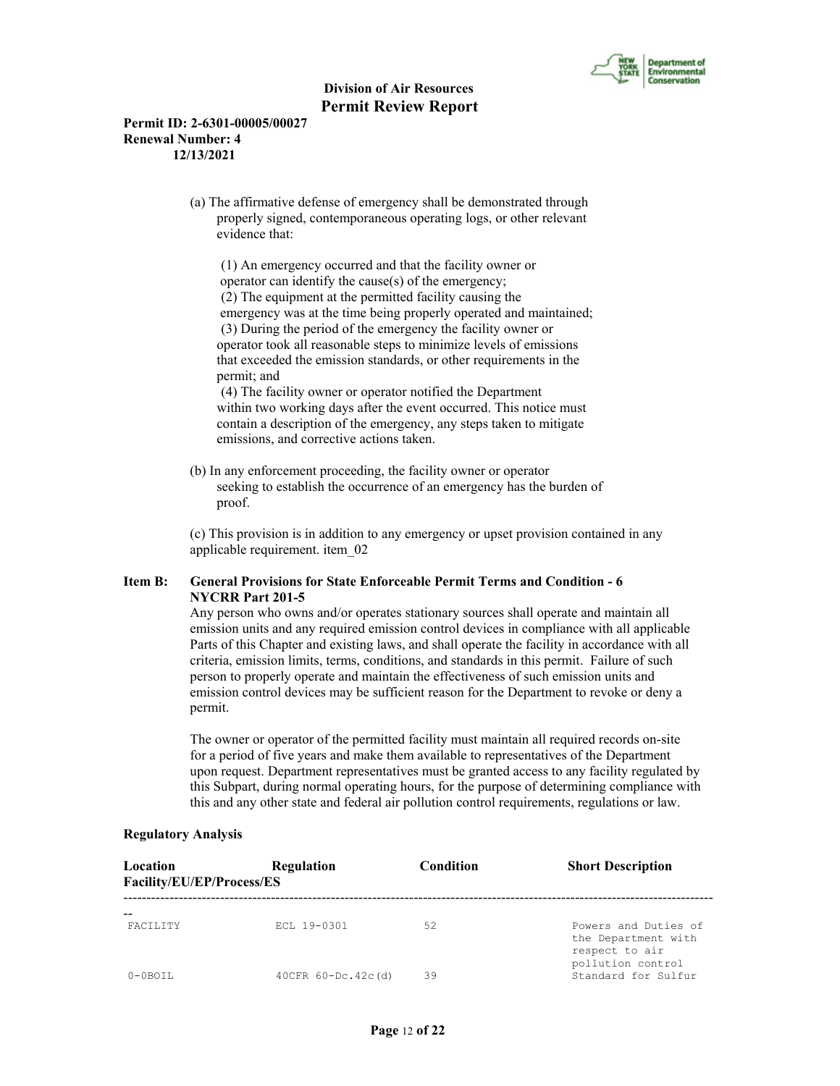

## **Permit ID: 2-6301-00005/00027 Renewal Number: 4 12/13/2021**

 (a) The affirmative defense of emergency shall be demonstrated through properly signed, contemporaneous operating logs, or other relevant evidence that:

 (1) An emergency occurred and that the facility owner or operator can identify the cause(s) of the emergency; (2) The equipment at the permitted facility causing the emergency was at the time being properly operated and maintained; (3) During the period of the emergency the facility owner or operator took all reasonable steps to minimize levels of emissions that exceeded the emission standards, or other requirements in the permit; and

 (4) The facility owner or operator notified the Department within two working days after the event occurred. This notice must contain a description of the emergency, any steps taken to mitigate emissions, and corrective actions taken.

 (b) In any enforcement proceeding, the facility owner or operator seeking to establish the occurrence of an emergency has the burden of proof.

 (c) This provision is in addition to any emergency or upset provision contained in any applicable requirement. item\_02

## **Item B: General Provisions for State Enforceable Permit Terms and Condition - 6 NYCRR Part 201-5**

 Any person who owns and/or operates stationary sources shall operate and maintain all emission units and any required emission control devices in compliance with all applicable Parts of this Chapter and existing laws, and shall operate the facility in accordance with all criteria, emission limits, terms, conditions, and standards in this permit. Failure of such person to properly operate and maintain the effectiveness of such emission units and emission control devices may be sufficient reason for the Department to revoke or deny a permit.

 The owner or operator of the permitted facility must maintain all required records on-site for a period of five years and make them available to representatives of the Department upon request. Department representatives must be granted access to any facility regulated by this Subpart, during normal operating hours, for the purpose of determining compliance with this and any other state and federal air pollution control requirements, regulations or law.

| Location<br>Facility/EU/EP/Process/ES | Regulation         | Condition | <b>Short Description</b>                                      |
|---------------------------------------|--------------------|-----------|---------------------------------------------------------------|
| <b>FACTLITY</b>                       | ECL 19-0301        | 52        | Powers and Duties of<br>the Department with<br>respect to air |
| $0 - 0$ BOTT.                         | 40CFR 60-Dc.42c(d) | 39        | pollution control<br>Standard for Sulfur                      |

## **Regulatory Analysis**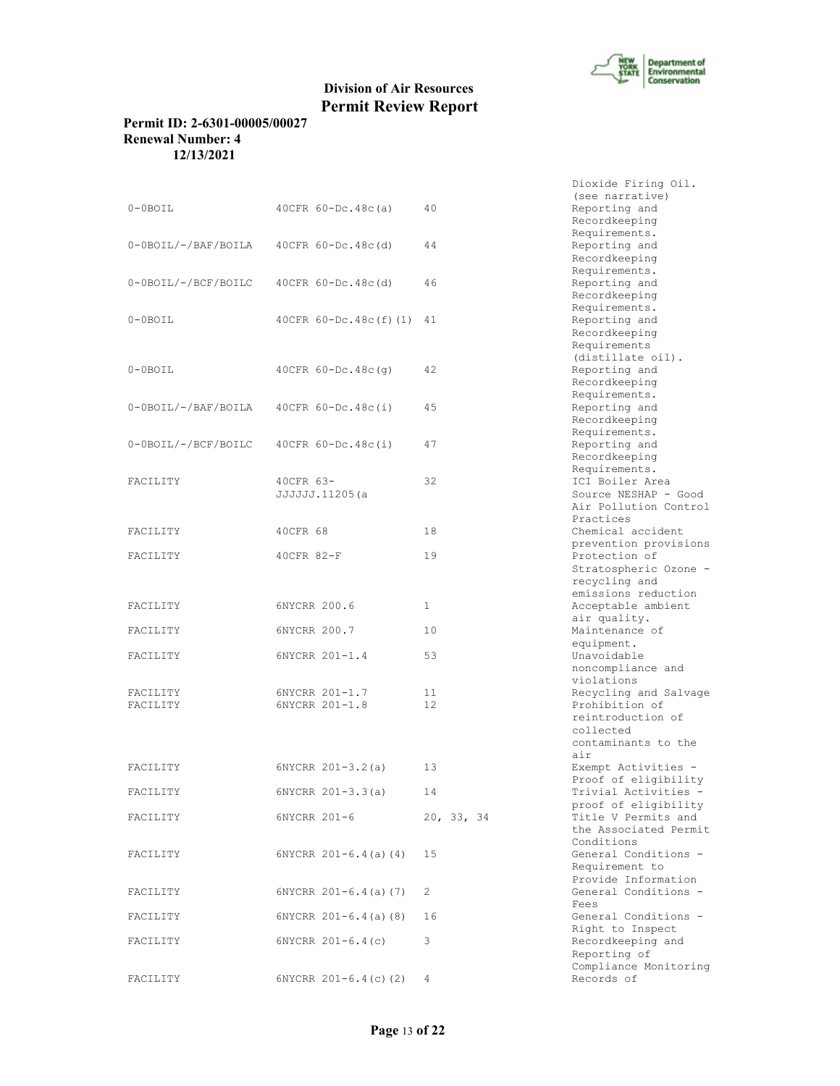

Dioxide Firing Oil.

# **Division of Air Resources Permit Review Report**

## **Permit ID: 2-6301-00005/00027 Renewal Number: 4 12/13/2021**

|                      |                                  |              | (see narrative)                                                                                  |
|----------------------|----------------------------------|--------------|--------------------------------------------------------------------------------------------------|
| $0-0$ BOIL           | $40CFR 60-DC.48c(a)$             | 40           | Reporting and<br>Recordkeeping<br>Requirements.                                                  |
| 0-0BOIL/-/BAF/BOILA  | 40CFR 60-Dc.48c(d)               | 44           | Reporting and<br>Recordkeeping                                                                   |
| 0-0BOIL/-/BCF/BOILC  | $40CFR 60-Dc.48c(d)$             | 46           | Requirements.<br>Reporting and<br>Recordkeeping                                                  |
| $0-0$ BOIL           | $40CFR 60-Dc.48c(f) (1)$         | 41           | Requirements.<br>Reporting and<br>Recordkeeping<br>Requirements                                  |
| $0-0$ BOIL           | $40CFR 60-DC.48c(q)$             | 42           | (distillate oil).<br>Reporting and<br>Recordkeeping                                              |
| 0-0BOIL/-/BAF/BOILA  | 40CFR $60-Dc.48c(i)$             | 45           | Requirements.<br>Reporting and<br>Recordkeeping                                                  |
| 0-0BOIL/-/BCF/BOILC  | 40CFR $60-Dc.48c(i)$             | 47           | Requirements.<br>Reporting and<br>Recordkeeping                                                  |
| FACILITY             | 40CFR 63-<br>JJJJJJ.11205(a      | 32           | Requirements.<br>ICI Boiler Area<br>Source NESHAP - Good<br>Air Pollution Control                |
| FACILITY             | 40CFR 68                         | 18           | Practices<br>Chemical accident<br>prevention provisions                                          |
| FACILITY             | $40CFR 82-F$                     | 19           | Protection of<br>Stratospheric Ozone -<br>recycling and                                          |
| FACILITY             | 6NYCRR 200.6                     | $\mathbf{1}$ | emissions reduction<br>Acceptable ambient<br>air quality.                                        |
| FACILITY             | 6NYCRR 200.7                     | 10           | Maintenance of<br>equipment.                                                                     |
| FACILITY             | 6NYCRR 201-1.4                   | 53           | Unavoidable<br>noncompliance and<br>violations                                                   |
| FACILITY<br>FACILITY | 6NYCRR 201-1.7<br>6NYCRR 201-1.8 | 11<br>12     | Recycling and Salvage<br>Prohibition of<br>reintroduction of<br>collected<br>contaminants to the |
| FACILITY             | $6NYCRR 201-3.2(a)$              | 13           | air<br>Exempt Activities -                                                                       |
| FACILITY             | $6NYCRR 201-3.3(a)$              | 14           | Proof of eligibility<br>Trivial Activities -<br>proof of eligibility                             |
| FACILITY             | 6NYCRR 201-6                     | 20, 33, 34   | Title V Permits and<br>the Associated Permit                                                     |
| FACILITY             | $6NYCRR$ $201-6.4$ (a) (4)       | 15           | Conditions<br>General Conditions -<br>Requirement to                                             |
| FACILITY             | $6NYCRR$ $201-6.4$ (a) (7)       | 2            | Provide Information<br>General Conditions -                                                      |
| FACILITY             | $6NYCRR 201-6.4(a)$ (8)          | 16           | Fees<br>General Conditions -<br>Right to Inspect                                                 |
| FACILITY             | $6NYCRR 201-6.4(c)$              | 3            | Recordkeeping and<br>Reporting of<br>Compliance Monitoring                                       |
| FACILITY             | $6NYCRR$ $201-6.4(c)$ $(2)$      | 4            | Records of                                                                                       |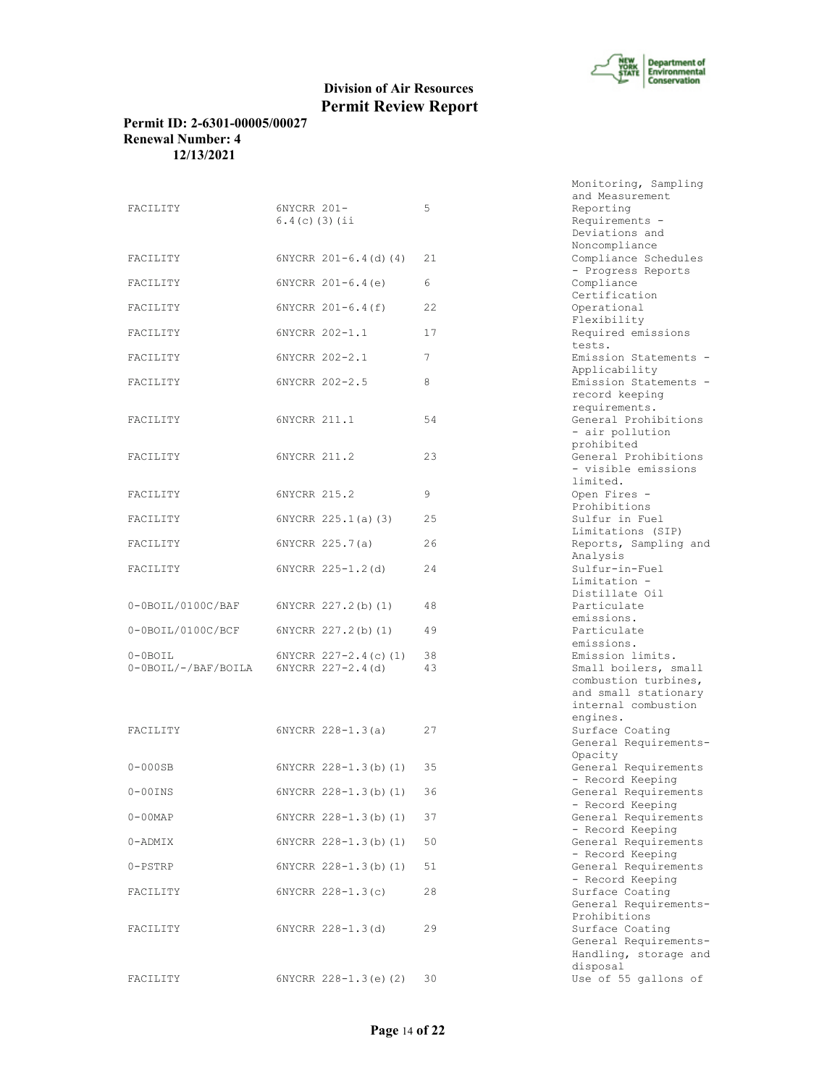

## **Permit ID: 2-6301-00005/00027 Renewal Number: 4 12/13/2021**

| FACILITY                                               | 6NYCRR 201-<br>$6.4(c)$ (3) (ii |                         | 5        |
|--------------------------------------------------------|---------------------------------|-------------------------|----------|
| FACILITY                                               |                                 | 6NYCRR 201-6.4(d)(4)    | 21       |
| FACILITY                                               |                                 | $6NYCRR 201-6.4(e)$     | 6        |
| FACILITY                                               |                                 | $6NYCRR 201-6.4(f)$     | 22       |
| FACILITY                                               |                                 | 6NYCRR 202-1.1          | 17       |
| FACILITY                                               |                                 | 6NYCRR 202-2.1          | 7        |
| FACILITY                                               |                                 | 6NYCRR 202-2.5          | 8        |
| FACILITY                                               | 6NYCRR 211.1                    |                         | 54       |
| FACILITY                                               | 6NYCRR 211.2                    |                         | 23       |
| FACILITY                                               | 6NYCRR 215.2                    |                         | 9        |
| FACILITY                                               |                                 | 6NYCRR 225.1(a)(3)      | 25       |
| FACILITY                                               |                                 | 6NYCRR 225.7(a)         | 26       |
| FACILITY                                               |                                 | 6NYCRR 225-1.2(d)       | 24       |
| 0-0BOIL/0100C/BAF                                      |                                 | 6NYCRR 227.2(b)(1)      | 48       |
| 0-0BOIL/0100C/BCF                                      |                                 | 6NYCRR 227.2(b)(1)      | -49      |
| $0-0$ BOIL<br>$0-0$ BOIL/-/BAF/BOILA 6NYCRR 227-2.4(d) |                                 | 6NYCRR 227-2.4(c)(1)    | 38<br>43 |
|                                                        |                                 |                         |          |
| FACILITY                                               |                                 | 6NYCRR 228-1.3(a)       | 27       |
| $0-000$ SB                                             |                                 | 6NYCRR 228-1.3(b)(1) 35 |          |
| $0-00$ INS                                             |                                 | 6NYCRR 228-1.3(b)(1)    | 36       |
| 0-00MAP                                                |                                 | 6NYCRR 228-1.3(b)(1)    | 37       |
| 0-ADMIX                                                |                                 | 6NYCRR 228-1.3(b)(1)    | 50       |
| 0-PSTRP                                                |                                 | 6NYCRR 228-1.3(b)(1)    | 51       |
| FACILITY                                               |                                 | $6NYCRR 228-1.3(c)$     | 28       |
| FACILITY                                               |                                 | $6NYCRR 228-1.3(d)$     | 29       |
| FACILITY                                               |                                 | 6NYCRR 228-1.3(e)(2) 30 |          |

Monitoring, Sampling and Measurement Reporting Requirements - Deviations and Noncompliance Compliance Schedules - Progress Reports Compliance Certification Operational Flexibility Required emissions tests. Emission Statements -Applicability Emission Statements record keeping requirements. General Prohibitions - air pollution prohibited General Prohibitions - visible emissions limited. Open Fires -Prohibitions Sulfur in Fuel Limitations (SIP) Reports, Sampling and Analysis Sulfur-in-Fuel Limitation - Distillate Oil Particulate emissions. Particulate emissions. Emission limits. Small boilers, small combustion turbines, and small stationary internal combustion engines. Surface Coating General Requirements-Opacity General Requirements - Record Keeping General Requirements - Record Keeping General Requirements - Record Keeping General Requirements - Record Keeping General Requirements - Record Keeping Surface Coating General Requirements-Prohibitions Surface Coating General Requirements-Handling, storage and disposal<br>Use of 55 gallons of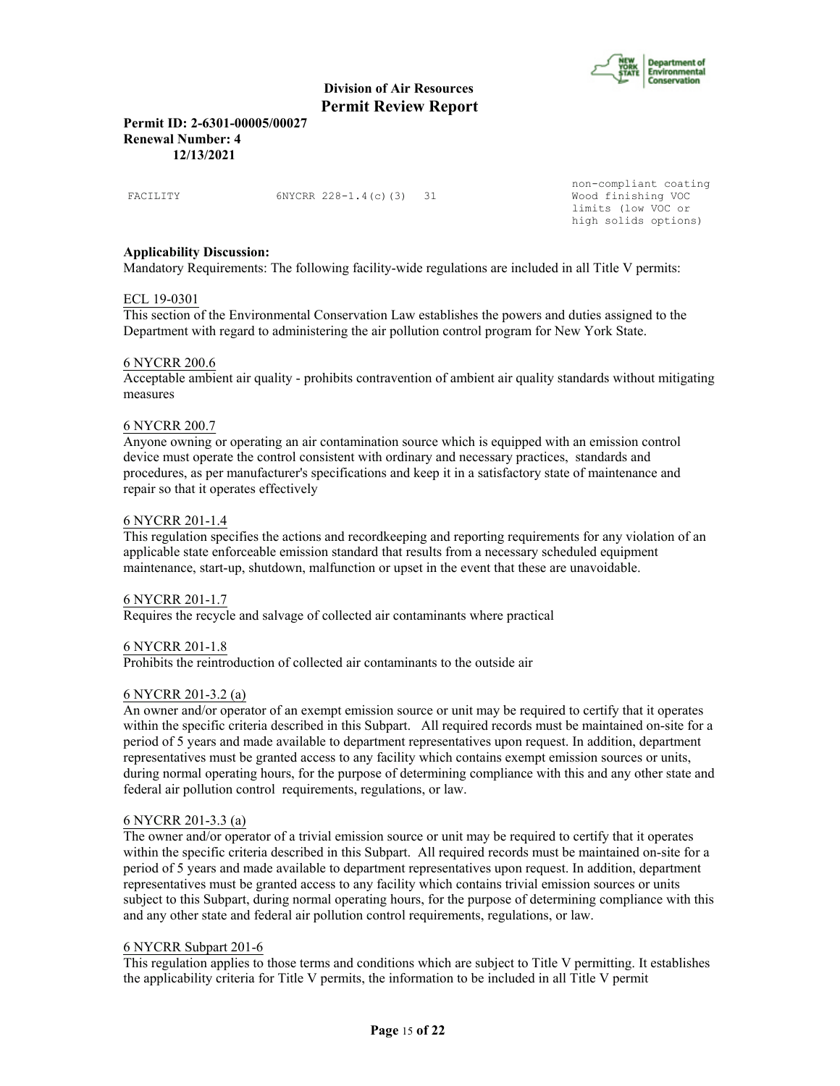

**Permit ID: 2-6301-00005/00027 Renewal Number: 4 12/13/2021**

FACILITY 6NYCRR 228-1.4(c)(3) 31

non-compliant coating<br>Wood finishing VOC limits (low VOC or high solids options)

### **Applicability Discussion:**

Mandatory Requirements: The following facility-wide regulations are included in all Title V permits:

#### ECL 19-0301

This section of the Environmental Conservation Law establishes the powers and duties assigned to the Department with regard to administering the air pollution control program for New York State.

#### 6 NYCRR 200.6

Acceptable ambient air quality - prohibits contravention of ambient air quality standards without mitigating measures

#### 6 NYCRR 200.7

Anyone owning or operating an air contamination source which is equipped with an emission control device must operate the control consistent with ordinary and necessary practices, standards and procedures, as per manufacturer's specifications and keep it in a satisfactory state of maintenance and repair so that it operates effectively

#### 6 NYCRR 201-1.4

This regulation specifies the actions and recordkeeping and reporting requirements for any violation of an applicable state enforceable emission standard that results from a necessary scheduled equipment maintenance, start-up, shutdown, malfunction or upset in the event that these are unavoidable.

#### 6 NYCRR 201-1.7

Requires the recycle and salvage of collected air contaminants where practical

#### 6 NYCRR 201-1.8

Prohibits the reintroduction of collected air contaminants to the outside air

#### 6 NYCRR 201-3.2 (a)

An owner and/or operator of an exempt emission source or unit may be required to certify that it operates within the specific criteria described in this Subpart. All required records must be maintained on-site for a period of 5 years and made available to department representatives upon request. In addition, department representatives must be granted access to any facility which contains exempt emission sources or units, during normal operating hours, for the purpose of determining compliance with this and any other state and federal air pollution control requirements, regulations, or law.

#### 6 NYCRR 201-3.3 (a)

The owner and/or operator of a trivial emission source or unit may be required to certify that it operates within the specific criteria described in this Subpart. All required records must be maintained on-site for a period of 5 years and made available to department representatives upon request. In addition, department representatives must be granted access to any facility which contains trivial emission sources or units subject to this Subpart, during normal operating hours, for the purpose of determining compliance with this and any other state and federal air pollution control requirements, regulations, or law.

#### 6 NYCRR Subpart 201-6

This regulation applies to those terms and conditions which are subject to Title V permitting. It establishes the applicability criteria for Title V permits, the information to be included in all Title V permit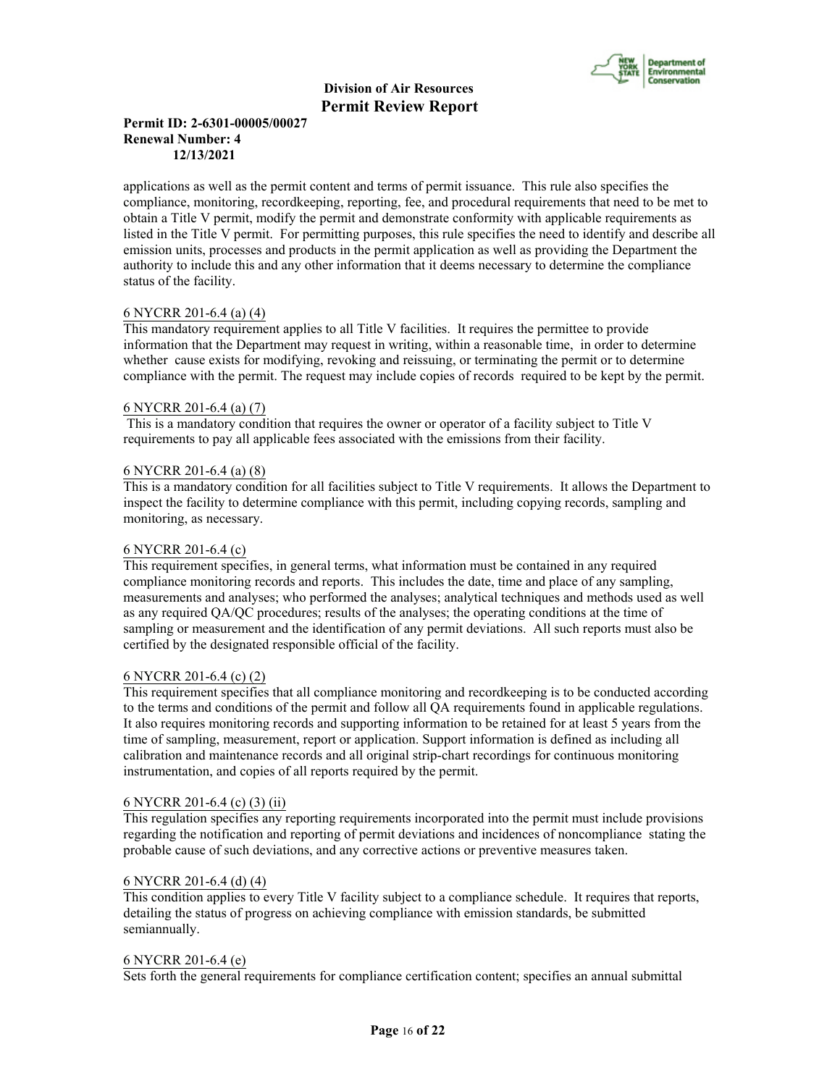

## **Permit ID: 2-6301-00005/00027 Renewal Number: 4 12/13/2021**

applications as well as the permit content and terms of permit issuance. This rule also specifies the compliance, monitoring, recordkeeping, reporting, fee, and procedural requirements that need to be met to obtain a Title V permit, modify the permit and demonstrate conformity with applicable requirements as listed in the Title V permit. For permitting purposes, this rule specifies the need to identify and describe all emission units, processes and products in the permit application as well as providing the Department the authority to include this and any other information that it deems necessary to determine the compliance status of the facility.

## 6 NYCRR 201-6.4 (a) (4)

This mandatory requirement applies to all Title V facilities. It requires the permittee to provide information that the Department may request in writing, within a reasonable time, in order to determine whether cause exists for modifying, revoking and reissuing, or terminating the permit or to determine compliance with the permit. The request may include copies of records required to be kept by the permit.

#### 6 NYCRR 201-6.4 (a) (7)

 This is a mandatory condition that requires the owner or operator of a facility subject to Title V requirements to pay all applicable fees associated with the emissions from their facility.

## 6 NYCRR 201-6.4 (a) (8)

This is a mandatory condition for all facilities subject to Title V requirements. It allows the Department to inspect the facility to determine compliance with this permit, including copying records, sampling and monitoring, as necessary.

### 6 NYCRR 201-6.4 (c)

This requirement specifies, in general terms, what information must be contained in any required compliance monitoring records and reports. This includes the date, time and place of any sampling, measurements and analyses; who performed the analyses; analytical techniques and methods used as well as any required QA/QC procedures; results of the analyses; the operating conditions at the time of sampling or measurement and the identification of any permit deviations. All such reports must also be certified by the designated responsible official of the facility.

#### 6 NYCRR 201-6.4 (c) (2)

This requirement specifies that all compliance monitoring and recordkeeping is to be conducted according to the terms and conditions of the permit and follow all QA requirements found in applicable regulations. It also requires monitoring records and supporting information to be retained for at least 5 years from the time of sampling, measurement, report or application. Support information is defined as including all calibration and maintenance records and all original strip-chart recordings for continuous monitoring instrumentation, and copies of all reports required by the permit.

#### 6 NYCRR 201-6.4 (c) (3) (ii)

This regulation specifies any reporting requirements incorporated into the permit must include provisions regarding the notification and reporting of permit deviations and incidences of noncompliance stating the probable cause of such deviations, and any corrective actions or preventive measures taken.

## 6 NYCRR 201-6.4 (d) (4)

This condition applies to every Title V facility subject to a compliance schedule. It requires that reports, detailing the status of progress on achieving compliance with emission standards, be submitted semiannually.

#### 6 NYCRR 201-6.4 (e)

Sets forth the general requirements for compliance certification content; specifies an annual submittal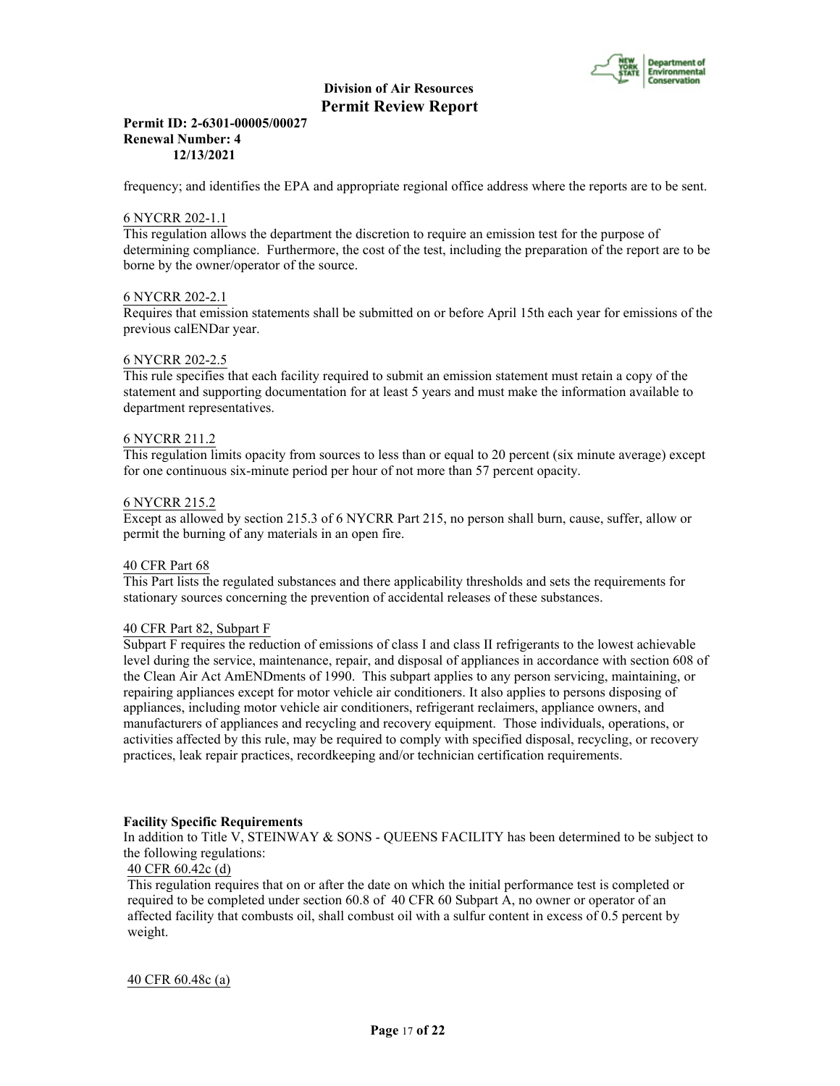

### **Permit ID: 2-6301-00005/00027 Renewal Number: 4 12/13/2021**

frequency; and identifies the EPA and appropriate regional office address where the reports are to be sent.

### 6 NYCRR 202-1.1

This regulation allows the department the discretion to require an emission test for the purpose of determining compliance. Furthermore, the cost of the test, including the preparation of the report are to be borne by the owner/operator of the source.

## 6 NYCRR 202-2.1

Requires that emission statements shall be submitted on or before April 15th each year for emissions of the previous calENDar year.

#### 6 NYCRR 202-2.5

This rule specifies that each facility required to submit an emission statement must retain a copy of the statement and supporting documentation for at least 5 years and must make the information available to department representatives.

#### 6 NYCRR 211.2

This regulation limits opacity from sources to less than or equal to 20 percent (six minute average) except for one continuous six-minute period per hour of not more than 57 percent opacity.

#### 6 NYCRR 215.2

Except as allowed by section 215.3 of 6 NYCRR Part 215, no person shall burn, cause, suffer, allow or permit the burning of any materials in an open fire.

## 40 CFR Part 68

This Part lists the regulated substances and there applicability thresholds and sets the requirements for stationary sources concerning the prevention of accidental releases of these substances.

#### 40 CFR Part 82, Subpart F

Subpart F requires the reduction of emissions of class I and class II refrigerants to the lowest achievable level during the service, maintenance, repair, and disposal of appliances in accordance with section 608 of the Clean Air Act AmENDments of 1990. This subpart applies to any person servicing, maintaining, or repairing appliances except for motor vehicle air conditioners. It also applies to persons disposing of appliances, including motor vehicle air conditioners, refrigerant reclaimers, appliance owners, and manufacturers of appliances and recycling and recovery equipment. Those individuals, operations, or activities affected by this rule, may be required to comply with specified disposal, recycling, or recovery practices, leak repair practices, recordkeeping and/or technician certification requirements.

#### **Facility Specific Requirements**

In addition to Title V, STEINWAY & SONS - QUEENS FACILITY has been determined to be subject to the following regulations:

## 40 CFR 60.42c (d)

This regulation requires that on or after the date on which the initial performance test is completed or required to be completed under section 60.8 of 40 CFR 60 Subpart A, no owner or operator of an affected facility that combusts oil, shall combust oil with a sulfur content in excess of 0.5 percent by weight.

#### 40 CFR 60.48c (a)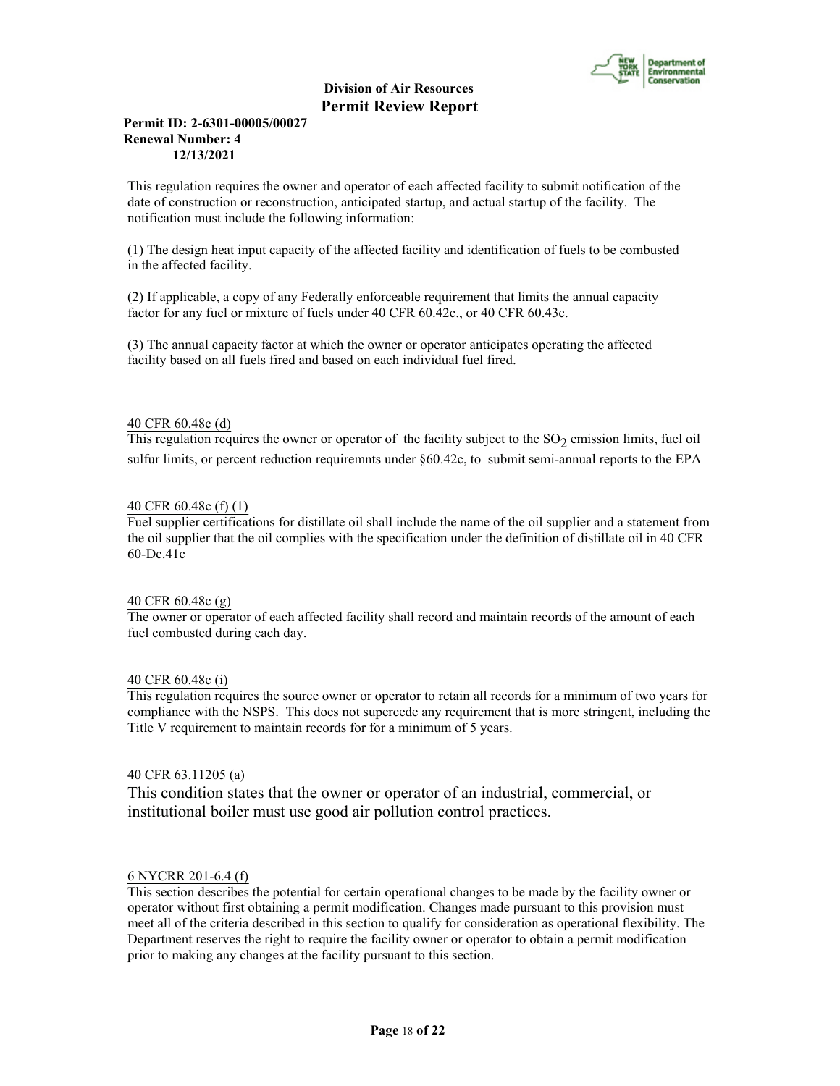

## **Permit ID: 2-6301-00005/00027 Renewal Number: 4 12/13/2021**

This regulation requires the owner and operator of each affected facility to submit notification of the date of construction or reconstruction, anticipated startup, and actual startup of the facility. The notification must include the following information:

(1) The design heat input capacity of the affected facility and identification of fuels to be combusted in the affected facility.

(2) If applicable, a copy of any Federally enforceable requirement that limits the annual capacity factor for any fuel or mixture of fuels under 40 CFR 60.42c., or 40 CFR 60.43c.

(3) The annual capacity factor at which the owner or operator anticipates operating the affected facility based on all fuels fired and based on each individual fuel fired.

## 40 CFR 60.48c (d)

This regulation requires the owner or operator of the facility subject to the  $SO_2$  emission limits, fuel oil sulfur limits, or percent reduction requiremnts under §60.42c, to submit semi-annual reports to the EPA

## 40 CFR 60.48c (f) (1)

Fuel supplier certifications for distillate oil shall include the name of the oil supplier and a statement from the oil supplier that the oil complies with the specification under the definition of distillate oil in 40 CFR 60-Dc.41c

#### 40 CFR 60.48c (g)

The owner or operator of each affected facility shall record and maintain records of the amount of each fuel combusted during each day.

#### 40 CFR 60.48c (i)

This regulation requires the source owner or operator to retain all records for a minimum of two years for compliance with the NSPS. This does not supercede any requirement that is more stringent, including the Title V requirement to maintain records for for a minimum of 5 years.

## 40 CFR 63.11205 (a)

This condition states that the owner or operator of an industrial, commercial, or institutional boiler must use good air pollution control practices.

#### 6 NYCRR 201-6.4 (f)

This section describes the potential for certain operational changes to be made by the facility owner or operator without first obtaining a permit modification. Changes made pursuant to this provision must meet all of the criteria described in this section to qualify for consideration as operational flexibility. The Department reserves the right to require the facility owner or operator to obtain a permit modification prior to making any changes at the facility pursuant to this section.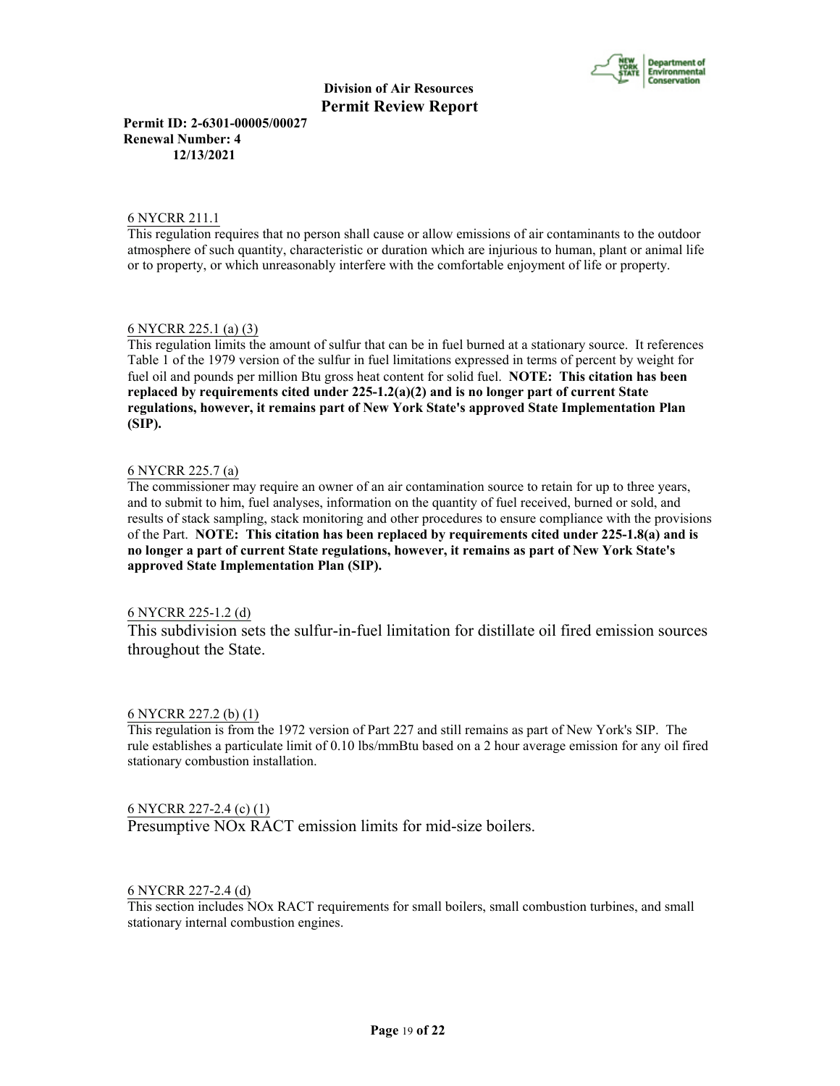

**Permit ID: 2-6301-00005/00027 Renewal Number: 4 12/13/2021**

### 6 NYCRR 211.1

This regulation requires that no person shall cause or allow emissions of air contaminants to the outdoor atmosphere of such quantity, characteristic or duration which are injurious to human, plant or animal life or to property, or which unreasonably interfere with the comfortable enjoyment of life or property.

## 6 NYCRR 225.1 (a) (3)

This regulation limits the amount of sulfur that can be in fuel burned at a stationary source. It references Table 1 of the 1979 version of the sulfur in fuel limitations expressed in terms of percent by weight for fuel oil and pounds per million Btu gross heat content for solid fuel. **NOTE: This citation has been replaced by requirements cited under 225-1.2(a)(2) and is no longer part of current State regulations, however, it remains part of New York State's approved State Implementation Plan (SIP).**

## 6 NYCRR 225.7 (a)

The commissioner may require an owner of an air contamination source to retain for up to three years, and to submit to him, fuel analyses, information on the quantity of fuel received, burned or sold, and results of stack sampling, stack monitoring and other procedures to ensure compliance with the provisions of the Part. **NOTE: This citation has been replaced by requirements cited under 225-1.8(a) and is no longer a part of current State regulations, however, it remains as part of New York State's approved State Implementation Plan (SIP).**

## 6 NYCRR 225-1.2 (d)

This subdivision sets the sulfur-in-fuel limitation for distillate oil fired emission sources throughout the State.

#### 6 NYCRR 227.2 (b) (1)

This regulation is from the 1972 version of Part 227 and still remains as part of New York's SIP. The rule establishes a particulate limit of 0.10 lbs/mmBtu based on a 2 hour average emission for any oil fired stationary combustion installation.

#### 6 NYCRR 227-2.4 (c) (1)

Presumptive NOx RACT emission limits for mid-size boilers.

## 6 NYCRR 227-2.4 (d)

This section includes NOx RACT requirements for small boilers, small combustion turbines, and small stationary internal combustion engines.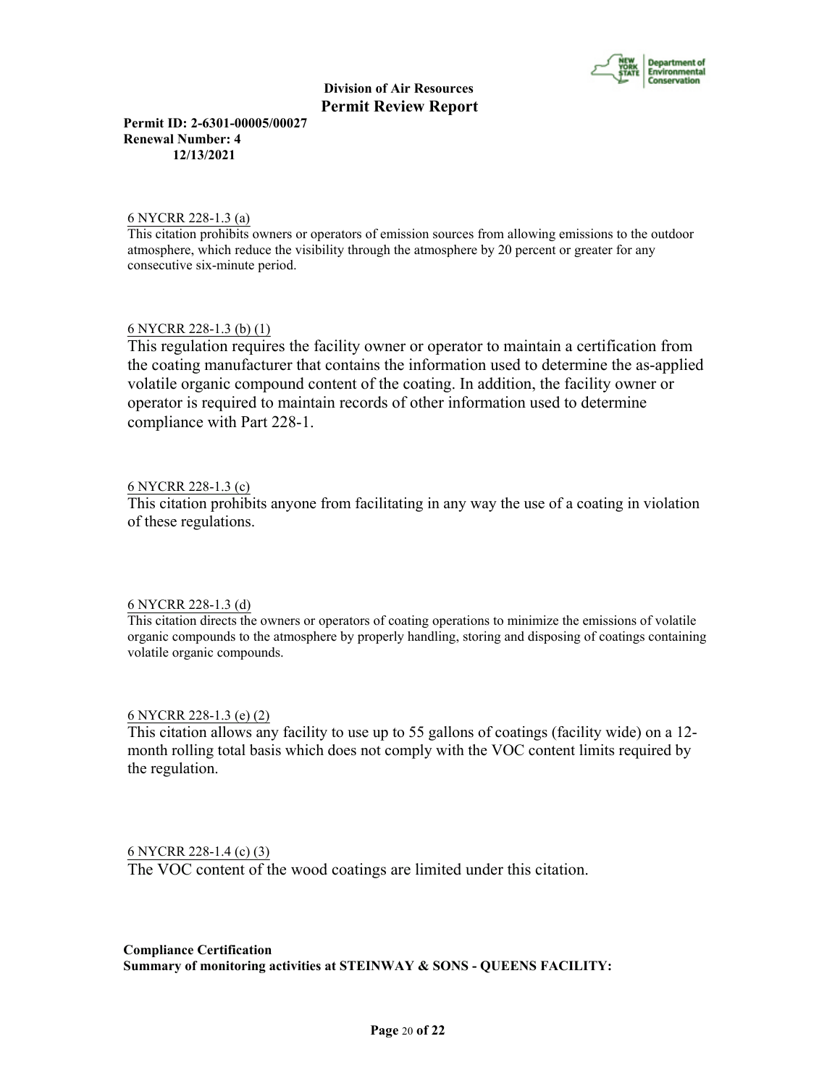

**Permit ID: 2-6301-00005/00027 Renewal Number: 4 12/13/2021**

## 6 NYCRR 228-1.3 (a)

This citation prohibits owners or operators of emission sources from allowing emissions to the outdoor atmosphere, which reduce the visibility through the atmosphere by 20 percent or greater for any consecutive six-minute period.

## 6 NYCRR 228-1.3 (b) (1)

This regulation requires the facility owner or operator to maintain a certification from the coating manufacturer that contains the information used to determine the as-applied volatile organic compound content of the coating. In addition, the facility owner or operator is required to maintain records of other information used to determine compliance with Part 228-1.

## 6 NYCRR 228-1.3 (c)

This citation prohibits anyone from facilitating in any way the use of a coating in violation of these regulations.

## 6 NYCRR 228-1.3 (d)

This citation directs the owners or operators of coating operations to minimize the emissions of volatile organic compounds to the atmosphere by properly handling, storing and disposing of coatings containing volatile organic compounds.

## 6 NYCRR 228-1.3 (e) (2)

This citation allows any facility to use up to 55 gallons of coatings (facility wide) on a 12 month rolling total basis which does not comply with the VOC content limits required by the regulation.

## 6 NYCRR 228-1.4 (c) (3)

The VOC content of the wood coatings are limited under this citation.

**Compliance Certification Summary of monitoring activities at STEINWAY & SONS - QUEENS FACILITY:**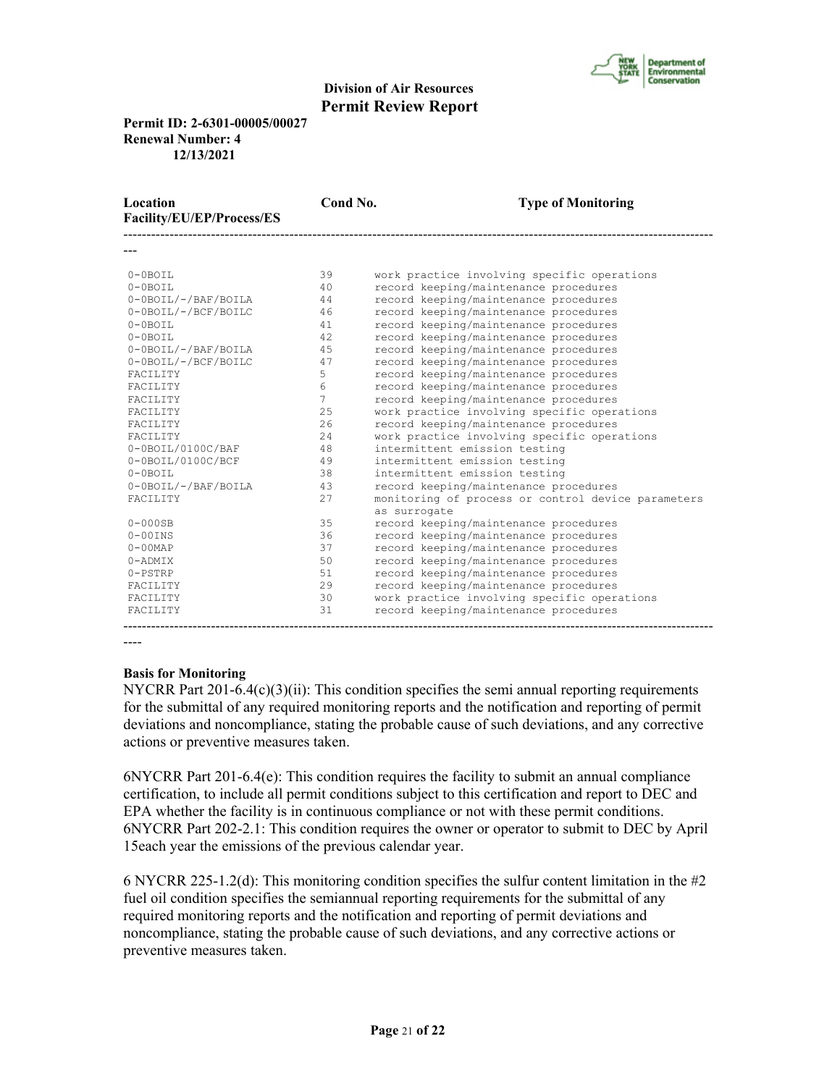

**Permit ID: 2-6301-00005/00027 Renewal Number: 4 12/13/2021**

| Location<br>Facility/EU/EP/Process/ES | Cond No.       | <b>Type of Monitoring</b>                          |
|---------------------------------------|----------------|----------------------------------------------------|
|                                       |                |                                                    |
| $0-0$ BOIL                            | 39             | work practice involving specific operations        |
| $0-0$ BOIL                            | 40             | record keeping/maintenance procedures              |
| 0-0BOIL/-/BAF/BOILA                   | 44             | record keeping/maintenance procedures              |
| 0-0BOIL/-/BCF/BOILC                   | 46             | record keeping/maintenance procedures              |
| $0 - 0$ BOTL                          | 41             | record keeping/maintenance procedures              |
| $0 - 0$ BOTL                          | 42             | record keeping/maintenance procedures              |
| 0-0BOIL/-/BAF/BOILA                   | 45             | record keeping/maintenance procedures              |
| 0-0BOIL/-/BCF/BOILC                   | 47             | record keeping/maintenance procedures              |
| <b>FACTLITY</b>                       | 5              | record keeping/maintenance procedures              |
| FACILITY                              | 6              | record keeping/maintenance procedures              |
| <b>FACTLITY</b>                       | $\overline{7}$ | record keeping/maintenance procedures              |
| <b>FACTLITY</b>                       | 25             | work practice involving specific operations        |
| <b>FACTLITY</b>                       | 2.6            | record keeping/maintenance procedures              |
| <b>FACTLITY</b>                       | 2.4            | work practice involving specific operations        |
| $0-0$ BOIL/0100C/BAF                  | 48             | intermittent emission testing                      |
| 0-0BOIL/0100C/BCF                     | 49             | intermittent emission testing                      |
| $0 - 0$ BOTL                          | 38             | intermittent emission testing                      |
| 0-0BOIL/-/BAF/BOILA                   | 43             | record keeping/maintenance procedures              |
| FACILITY                              | 2.7            | monitoring of process or control device parameters |
|                                       |                | as surrogate                                       |
| $0-000$ SB                            | 35             | record keeping/maintenance procedures              |
| $0-00$ INS                            | 36             | record keeping/maintenance procedures              |
| $0 - 00$ MAP                          | 37             | record keeping/maintenance procedures              |
| $0 - ADMIX$                           | 50             | record keeping/maintenance procedures              |
| $0 - PSTRP$                           | 51             | record keeping/maintenance procedures              |
| FACILITY                              | 29             | record keeping/maintenance procedures              |
| FACILITY                              | 30             | work practice involving specific operations        |
| FACILITY                              | 31             | record keeping/maintenance procedures              |
|                                       |                |                                                    |

----

#### **Basis for Monitoring**

NYCRR Part  $201-6.4(c)(3)(ii)$ : This condition specifies the semi annual reporting requirements for the submittal of any required monitoring reports and the notification and reporting of permit deviations and noncompliance, stating the probable cause of such deviations, and any corrective actions or preventive measures taken.

6NYCRR Part 201-6.4(e): This condition requires the facility to submit an annual compliance certification, to include all permit conditions subject to this certification and report to DEC and EPA whether the facility is in continuous compliance or not with these permit conditions. 6NYCRR Part 202-2.1: This condition requires the owner or operator to submit to DEC by April 15each year the emissions of the previous calendar year.

6 NYCRR 225-1.2(d): This monitoring condition specifies the sulfur content limitation in the  $\#2$ fuel oil condition specifies the semiannual reporting requirements for the submittal of any required monitoring reports and the notification and reporting of permit deviations and noncompliance, stating the probable cause of such deviations, and any corrective actions or preventive measures taken.